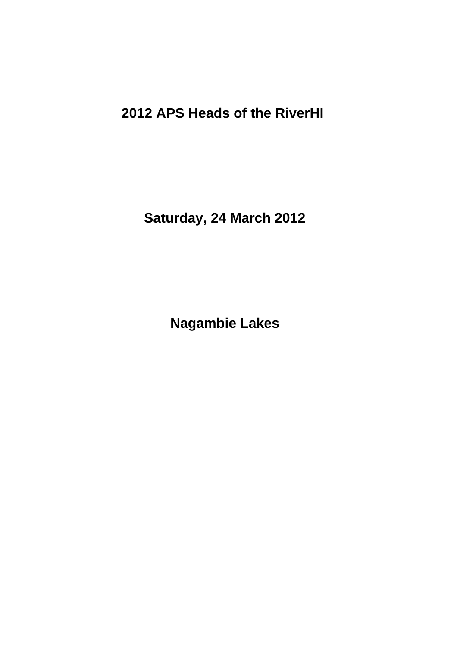# **2012 APS Heads of the RiverHI**

**Saturday, 24 March 2012**

**Nagambie Lakes**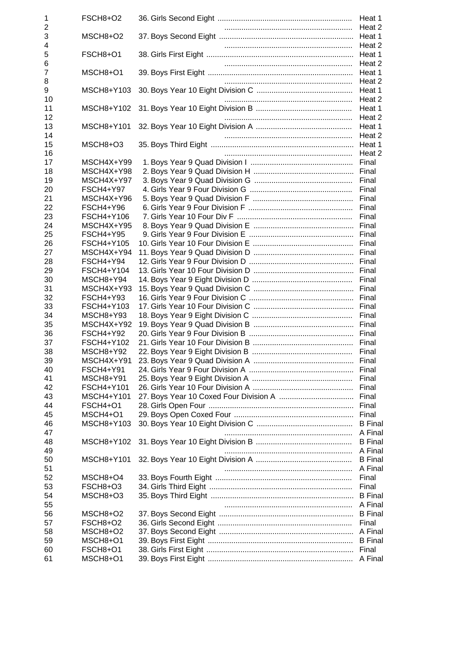| 1       | FSCH8+O2         |                  |
|---------|------------------|------------------|
| 2       |                  |                  |
| 3       | MSCH8+O2         |                  |
| 4       |                  | Heat 2           |
| 5       | FSCH8+O1         | Heat 1           |
| 6       |                  | Heat 2           |
| 7       | MSCH8+O1         | Heat 1           |
| 8       |                  | Heat 2           |
| 9<br>10 | MSCH8+Y103       | Heat 1<br>Heat 2 |
| 11      | MSCH8+Y102       | Heat 1           |
| 12      |                  | Heat 2           |
| 13      | MSCH8+Y101       | Heat 1           |
| 14      |                  | Heat 2           |
| 15      | MSCH8+O3         | Heat 1           |
| 16      |                  | Heat 2           |
| 17      | MSCH4X+Y99       | Final            |
| 18      | MSCH4X+Y98       |                  |
| 19      | MSCH4X+Y97       | Final            |
| 20      | FSCH4+Y97        | Final            |
| 21      | MSCH4X+Y96       |                  |
| 22      | FSCH4+Y96        | Final            |
| 23      | FSCH4+Y106       | Final            |
| 24      | MSCH4X+Y95       |                  |
| 25      | <b>FSCH4+Y95</b> |                  |
| 26      | FSCH4+Y105       | Final            |
| 27      | MSCH4X+Y94       |                  |
| 28      | FSCH4+Y94        | Final            |
| 29      | FSCH4+Y104       |                  |
| 30      | MSCH8+Y94        | Final            |
| 31      | MSCH4X+Y93       |                  |
| 32      | <b>FSCH4+Y93</b> |                  |
| 33      | FSCH4+Y103       |                  |
| 34      | MSCH8+Y93        | Final            |
| 35      | MSCH4X+Y92       |                  |
| 36      | FSCH4+Y92        |                  |
| 37      | FSCH4+Y102       |                  |
| 38      | MSCH8+Y92        |                  |
| 39      | MSCH4X+Y91       | Final            |
| 40      | FSCH4+Y91        |                  |
| 41      | MSCH8+Y91        | Final            |
| 42      | FSCH4+Y101       |                  |
| 43      | MSCH4+Y101       |                  |
| 44      | FSCH4+O1         |                  |
| 45      | MSCH4+O1         |                  |
| 46      | MSCH8+Y103       | <b>B</b> Final   |
| 47      |                  | A Final          |
| 48      | MSCH8+Y102       | <b>B</b> Final   |
| 49      |                  | A Final          |
| 50      | MSCH8+Y101       | <b>B</b> Final   |
| 51      |                  | A Final          |
| 52      | MSCH8+O4         | Final            |
| 53      | FSCH8+O3         | Final            |
| 54      | MSCH8+O3         | <b>B</b> Final   |
| 55      |                  | A Final          |
| 56      | MSCH8+O2         | <b>B</b> Final   |
| 57      | FSCH8+O2         | Final            |
| 58      | MSCH8+O2         | A Final          |
| 59      | MSCH8+O1         | <b>B</b> Final   |
| 60      | FSCH8+O1         |                  |
| 61      | MSCH8+O1         |                  |
|         |                  |                  |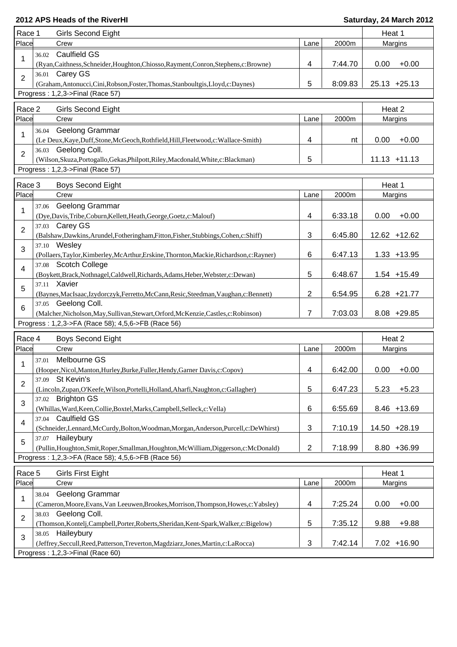| Place<br>Crew<br>2000m<br>Margins<br>Lane<br><b>Caulfield GS</b><br>36.02<br>1<br>0.00<br>$+0.00$<br>(Ryan,Caithness,Schneider,Houghton,Chiosso,Rayment,Conron,Stephens,c:Browne)<br>4<br>7:44.70<br>36.01 Carey GS<br>$\overline{2}$<br>5<br>8:09.83<br>$25.13 + 25.13$<br>(Graham, Antonucci, Cini, Robson, Foster, Thomas, Stanboultgis, Lloyd, c: Daynes)<br>Progress: 1,2,3->Final (Race 57)<br>Race 2<br><b>Girls Second Eight</b><br>Heat 2<br>Place<br>Crew<br>2000m<br>Margins<br>Lane<br>36.04 Geelong Grammar<br>1<br>4<br>0.00<br>$+0.00$<br>(Le Deux, Kaye, Duff, Stone, McGeoch, Rothfield, Hill, Fleetwood, c: Wallace-Smith)<br>nt<br>36.03 Geelong Coll.<br>$\overline{2}$<br>5<br>(Wilson, Skuza, Portogallo, Gekas, Philpott, Riley, Macdonald, White, c: Blackman)<br>$11.13 + 11.13$<br>Progress: 1,2,3->Final (Race 57)<br>Race 3<br>Heat 1<br><b>Boys Second Eight</b><br>Place<br>Crew<br>2000m<br>Margins<br>Lane<br>Geelong Grammar<br>37.06<br>$\mathbf{1}$<br>6:33.18<br>$+0.00$<br>(Dye,Davis,Tribe,Coburn,Kellett,Heath,George,Goetz,c:Malouf)<br>4<br>0.00<br>37.03 Carey GS<br>$\overline{2}$<br>3<br>12.62 +12.62<br>6:45.80<br>(Balshaw,Dawkins,Arundel,Fotheringham,Fitton,Fisher,Stubbings,Cohen,c:Shiff)<br>37.10 Wesley<br>3<br>6<br>6:47.13<br>$1.33 + 13.95$<br>(Pollaers,Taylor,Kimberley,McArthur,Erskine,Thornton,Mackie,Richardson,c:Rayner)<br>37.08 Scotch College<br>4<br>5<br>6:48.67<br>$1.54 + 15.49$<br>(Boykett,Brack,Nothnagel,Caldwell,Richards,Adams,Heber,Webster,c:Dewan)<br>37.11 Xavier<br>5<br>2<br>$6.28 + 21.77$<br>6:54.95<br>(Baynes, MacIsaac, Izydorczyk, Ferretto, McCann, Resic, Steedman, Vaughan, c: Bennett)<br>37.05 Geelong Coll.<br>$6\phantom{1}$<br>7<br>7:03.03<br>8.08 +29.85<br>(Malcher, Nicholson, May, Sullivan, Stewart, Orford, McKenzie, Castles, c: Robinson)<br>Progress: 1,2,3->FA (Race 58); 4,5,6->FB (Race 56)<br>Heat 2<br>Race 4<br><b>Boys Second Eight</b><br>Place<br>2000m<br>Crew<br>Lane<br>Margins<br>Melbourne GS<br>37.01<br>6:42.00<br>$0.00 + 0.00$<br>4<br>(Hooper, Nicol, Manton, Hurley, Burke, Fuller, Hendy, Garner Davis, c: Copov)<br>37.09 St Kevin's<br>2<br>5<br>6:47.23<br>5.23<br>$+5.23$<br>(Lincoln,Zupan,O'Keefe,Wilson,Portelli,Holland,Aharfi,Naughton,c:Gallagher)<br>37.02 Brighton GS<br>3<br>6<br>6:55.69<br>8.46 +13.69<br>(Whillas, Ward, Keen, Collie, Boxtel, Marks, Campbell, Selleck, c: Vella)<br><b>Caulfield GS</b><br>37.04<br>$\overline{4}$<br>3<br>7:10.19<br>14.50 +28.19<br>(Schneider,Lennard,McCurdy,Bolton,Woodman,Morgan,Anderson,Purcell,c:DeWhirst)<br>Haileybury<br>37.07<br>5<br>$\overline{2}$<br>7:18.99<br>8.80 +36.99<br>(Pullin, Houghton, Smit, Roper, Smallman, Houghton, McWilliam, Diggerson, c: McDonald)<br>Progress: 1,2,3->FA (Race 58); 4,5,6->FB (Race 56)<br>Race 5<br><b>Girls First Eight</b><br>Heat 1<br>Place<br>2000m<br>Crew<br>Margins<br>Lane<br>38.04 Geelong Grammar<br>1<br>4<br>7:25.24<br>0.00<br>$+0.00$<br>(Cameron, Moore, Evans, Van Leeuwen, Brookes, Morrison, Thompson, Howes, c: Yabsley)<br>Geelong Coll.<br>38.03<br>$\overline{2}$<br>5<br>(Thomson, Kontelj, Campbell, Porter, Roberts, Sheridan, Kent-Spark, Walker, c: Bigelow)<br>$+9.88$<br>7:35.12<br>9.88<br>38.05 Haileybury<br>$\mathbf{3}$<br>3<br>7:42.14<br>$7.02 + 16.90$<br>(Jeffrey, Seccull, Reed, Patterson, Treverton, Magdziarz, Jones, Martin, c: LaRocca)<br>Progress: 1,2,3->Final (Race 60) | Race 1 | Girls Second Eight |  | Heat 1 |  |
|-----------------------------------------------------------------------------------------------------------------------------------------------------------------------------------------------------------------------------------------------------------------------------------------------------------------------------------------------------------------------------------------------------------------------------------------------------------------------------------------------------------------------------------------------------------------------------------------------------------------------------------------------------------------------------------------------------------------------------------------------------------------------------------------------------------------------------------------------------------------------------------------------------------------------------------------------------------------------------------------------------------------------------------------------------------------------------------------------------------------------------------------------------------------------------------------------------------------------------------------------------------------------------------------------------------------------------------------------------------------------------------------------------------------------------------------------------------------------------------------------------------------------------------------------------------------------------------------------------------------------------------------------------------------------------------------------------------------------------------------------------------------------------------------------------------------------------------------------------------------------------------------------------------------------------------------------------------------------------------------------------------------------------------------------------------------------------------------------------------------------------------------------------------------------------------------------------------------------------------------------------------------------------------------------------------------------------------------------------------------------------------------------------------------------------------------------------------------------------------------------------------------------------------------------------------------------------------------------------------------------------------------------------------------------------------------------------------------------------------------------------------------------------------------------------------------------------------------------------------------------------------------------------------------------------------------------------------------------------------------------------------------------------------------------------------------------------------------------------------------------------------------------------------------------------------------------------------------------------------------------------------------------------------------------------------------------------------------------------------------------------------------------------------------------------------------------------------------|--------|--------------------|--|--------|--|
|                                                                                                                                                                                                                                                                                                                                                                                                                                                                                                                                                                                                                                                                                                                                                                                                                                                                                                                                                                                                                                                                                                                                                                                                                                                                                                                                                                                                                                                                                                                                                                                                                                                                                                                                                                                                                                                                                                                                                                                                                                                                                                                                                                                                                                                                                                                                                                                                                                                                                                                                                                                                                                                                                                                                                                                                                                                                                                                                                                                                                                                                                                                                                                                                                                                                                                                                                                                                                                                                 |        |                    |  |        |  |
|                                                                                                                                                                                                                                                                                                                                                                                                                                                                                                                                                                                                                                                                                                                                                                                                                                                                                                                                                                                                                                                                                                                                                                                                                                                                                                                                                                                                                                                                                                                                                                                                                                                                                                                                                                                                                                                                                                                                                                                                                                                                                                                                                                                                                                                                                                                                                                                                                                                                                                                                                                                                                                                                                                                                                                                                                                                                                                                                                                                                                                                                                                                                                                                                                                                                                                                                                                                                                                                                 |        |                    |  |        |  |
|                                                                                                                                                                                                                                                                                                                                                                                                                                                                                                                                                                                                                                                                                                                                                                                                                                                                                                                                                                                                                                                                                                                                                                                                                                                                                                                                                                                                                                                                                                                                                                                                                                                                                                                                                                                                                                                                                                                                                                                                                                                                                                                                                                                                                                                                                                                                                                                                                                                                                                                                                                                                                                                                                                                                                                                                                                                                                                                                                                                                                                                                                                                                                                                                                                                                                                                                                                                                                                                                 |        |                    |  |        |  |
|                                                                                                                                                                                                                                                                                                                                                                                                                                                                                                                                                                                                                                                                                                                                                                                                                                                                                                                                                                                                                                                                                                                                                                                                                                                                                                                                                                                                                                                                                                                                                                                                                                                                                                                                                                                                                                                                                                                                                                                                                                                                                                                                                                                                                                                                                                                                                                                                                                                                                                                                                                                                                                                                                                                                                                                                                                                                                                                                                                                                                                                                                                                                                                                                                                                                                                                                                                                                                                                                 |        |                    |  |        |  |
|                                                                                                                                                                                                                                                                                                                                                                                                                                                                                                                                                                                                                                                                                                                                                                                                                                                                                                                                                                                                                                                                                                                                                                                                                                                                                                                                                                                                                                                                                                                                                                                                                                                                                                                                                                                                                                                                                                                                                                                                                                                                                                                                                                                                                                                                                                                                                                                                                                                                                                                                                                                                                                                                                                                                                                                                                                                                                                                                                                                                                                                                                                                                                                                                                                                                                                                                                                                                                                                                 |        |                    |  |        |  |
|                                                                                                                                                                                                                                                                                                                                                                                                                                                                                                                                                                                                                                                                                                                                                                                                                                                                                                                                                                                                                                                                                                                                                                                                                                                                                                                                                                                                                                                                                                                                                                                                                                                                                                                                                                                                                                                                                                                                                                                                                                                                                                                                                                                                                                                                                                                                                                                                                                                                                                                                                                                                                                                                                                                                                                                                                                                                                                                                                                                                                                                                                                                                                                                                                                                                                                                                                                                                                                                                 |        |                    |  |        |  |
|                                                                                                                                                                                                                                                                                                                                                                                                                                                                                                                                                                                                                                                                                                                                                                                                                                                                                                                                                                                                                                                                                                                                                                                                                                                                                                                                                                                                                                                                                                                                                                                                                                                                                                                                                                                                                                                                                                                                                                                                                                                                                                                                                                                                                                                                                                                                                                                                                                                                                                                                                                                                                                                                                                                                                                                                                                                                                                                                                                                                                                                                                                                                                                                                                                                                                                                                                                                                                                                                 |        |                    |  |        |  |
|                                                                                                                                                                                                                                                                                                                                                                                                                                                                                                                                                                                                                                                                                                                                                                                                                                                                                                                                                                                                                                                                                                                                                                                                                                                                                                                                                                                                                                                                                                                                                                                                                                                                                                                                                                                                                                                                                                                                                                                                                                                                                                                                                                                                                                                                                                                                                                                                                                                                                                                                                                                                                                                                                                                                                                                                                                                                                                                                                                                                                                                                                                                                                                                                                                                                                                                                                                                                                                                                 |        |                    |  |        |  |
|                                                                                                                                                                                                                                                                                                                                                                                                                                                                                                                                                                                                                                                                                                                                                                                                                                                                                                                                                                                                                                                                                                                                                                                                                                                                                                                                                                                                                                                                                                                                                                                                                                                                                                                                                                                                                                                                                                                                                                                                                                                                                                                                                                                                                                                                                                                                                                                                                                                                                                                                                                                                                                                                                                                                                                                                                                                                                                                                                                                                                                                                                                                                                                                                                                                                                                                                                                                                                                                                 |        |                    |  |        |  |
|                                                                                                                                                                                                                                                                                                                                                                                                                                                                                                                                                                                                                                                                                                                                                                                                                                                                                                                                                                                                                                                                                                                                                                                                                                                                                                                                                                                                                                                                                                                                                                                                                                                                                                                                                                                                                                                                                                                                                                                                                                                                                                                                                                                                                                                                                                                                                                                                                                                                                                                                                                                                                                                                                                                                                                                                                                                                                                                                                                                                                                                                                                                                                                                                                                                                                                                                                                                                                                                                 |        |                    |  |        |  |
|                                                                                                                                                                                                                                                                                                                                                                                                                                                                                                                                                                                                                                                                                                                                                                                                                                                                                                                                                                                                                                                                                                                                                                                                                                                                                                                                                                                                                                                                                                                                                                                                                                                                                                                                                                                                                                                                                                                                                                                                                                                                                                                                                                                                                                                                                                                                                                                                                                                                                                                                                                                                                                                                                                                                                                                                                                                                                                                                                                                                                                                                                                                                                                                                                                                                                                                                                                                                                                                                 |        |                    |  |        |  |
|                                                                                                                                                                                                                                                                                                                                                                                                                                                                                                                                                                                                                                                                                                                                                                                                                                                                                                                                                                                                                                                                                                                                                                                                                                                                                                                                                                                                                                                                                                                                                                                                                                                                                                                                                                                                                                                                                                                                                                                                                                                                                                                                                                                                                                                                                                                                                                                                                                                                                                                                                                                                                                                                                                                                                                                                                                                                                                                                                                                                                                                                                                                                                                                                                                                                                                                                                                                                                                                                 |        |                    |  |        |  |
|                                                                                                                                                                                                                                                                                                                                                                                                                                                                                                                                                                                                                                                                                                                                                                                                                                                                                                                                                                                                                                                                                                                                                                                                                                                                                                                                                                                                                                                                                                                                                                                                                                                                                                                                                                                                                                                                                                                                                                                                                                                                                                                                                                                                                                                                                                                                                                                                                                                                                                                                                                                                                                                                                                                                                                                                                                                                                                                                                                                                                                                                                                                                                                                                                                                                                                                                                                                                                                                                 |        |                    |  |        |  |
|                                                                                                                                                                                                                                                                                                                                                                                                                                                                                                                                                                                                                                                                                                                                                                                                                                                                                                                                                                                                                                                                                                                                                                                                                                                                                                                                                                                                                                                                                                                                                                                                                                                                                                                                                                                                                                                                                                                                                                                                                                                                                                                                                                                                                                                                                                                                                                                                                                                                                                                                                                                                                                                                                                                                                                                                                                                                                                                                                                                                                                                                                                                                                                                                                                                                                                                                                                                                                                                                 |        |                    |  |        |  |
|                                                                                                                                                                                                                                                                                                                                                                                                                                                                                                                                                                                                                                                                                                                                                                                                                                                                                                                                                                                                                                                                                                                                                                                                                                                                                                                                                                                                                                                                                                                                                                                                                                                                                                                                                                                                                                                                                                                                                                                                                                                                                                                                                                                                                                                                                                                                                                                                                                                                                                                                                                                                                                                                                                                                                                                                                                                                                                                                                                                                                                                                                                                                                                                                                                                                                                                                                                                                                                                                 |        |                    |  |        |  |
|                                                                                                                                                                                                                                                                                                                                                                                                                                                                                                                                                                                                                                                                                                                                                                                                                                                                                                                                                                                                                                                                                                                                                                                                                                                                                                                                                                                                                                                                                                                                                                                                                                                                                                                                                                                                                                                                                                                                                                                                                                                                                                                                                                                                                                                                                                                                                                                                                                                                                                                                                                                                                                                                                                                                                                                                                                                                                                                                                                                                                                                                                                                                                                                                                                                                                                                                                                                                                                                                 |        |                    |  |        |  |
|                                                                                                                                                                                                                                                                                                                                                                                                                                                                                                                                                                                                                                                                                                                                                                                                                                                                                                                                                                                                                                                                                                                                                                                                                                                                                                                                                                                                                                                                                                                                                                                                                                                                                                                                                                                                                                                                                                                                                                                                                                                                                                                                                                                                                                                                                                                                                                                                                                                                                                                                                                                                                                                                                                                                                                                                                                                                                                                                                                                                                                                                                                                                                                                                                                                                                                                                                                                                                                                                 |        |                    |  |        |  |
|                                                                                                                                                                                                                                                                                                                                                                                                                                                                                                                                                                                                                                                                                                                                                                                                                                                                                                                                                                                                                                                                                                                                                                                                                                                                                                                                                                                                                                                                                                                                                                                                                                                                                                                                                                                                                                                                                                                                                                                                                                                                                                                                                                                                                                                                                                                                                                                                                                                                                                                                                                                                                                                                                                                                                                                                                                                                                                                                                                                                                                                                                                                                                                                                                                                                                                                                                                                                                                                                 |        |                    |  |        |  |
|                                                                                                                                                                                                                                                                                                                                                                                                                                                                                                                                                                                                                                                                                                                                                                                                                                                                                                                                                                                                                                                                                                                                                                                                                                                                                                                                                                                                                                                                                                                                                                                                                                                                                                                                                                                                                                                                                                                                                                                                                                                                                                                                                                                                                                                                                                                                                                                                                                                                                                                                                                                                                                                                                                                                                                                                                                                                                                                                                                                                                                                                                                                                                                                                                                                                                                                                                                                                                                                                 |        |                    |  |        |  |
|                                                                                                                                                                                                                                                                                                                                                                                                                                                                                                                                                                                                                                                                                                                                                                                                                                                                                                                                                                                                                                                                                                                                                                                                                                                                                                                                                                                                                                                                                                                                                                                                                                                                                                                                                                                                                                                                                                                                                                                                                                                                                                                                                                                                                                                                                                                                                                                                                                                                                                                                                                                                                                                                                                                                                                                                                                                                                                                                                                                                                                                                                                                                                                                                                                                                                                                                                                                                                                                                 |        |                    |  |        |  |
|                                                                                                                                                                                                                                                                                                                                                                                                                                                                                                                                                                                                                                                                                                                                                                                                                                                                                                                                                                                                                                                                                                                                                                                                                                                                                                                                                                                                                                                                                                                                                                                                                                                                                                                                                                                                                                                                                                                                                                                                                                                                                                                                                                                                                                                                                                                                                                                                                                                                                                                                                                                                                                                                                                                                                                                                                                                                                                                                                                                                                                                                                                                                                                                                                                                                                                                                                                                                                                                                 |        |                    |  |        |  |
|                                                                                                                                                                                                                                                                                                                                                                                                                                                                                                                                                                                                                                                                                                                                                                                                                                                                                                                                                                                                                                                                                                                                                                                                                                                                                                                                                                                                                                                                                                                                                                                                                                                                                                                                                                                                                                                                                                                                                                                                                                                                                                                                                                                                                                                                                                                                                                                                                                                                                                                                                                                                                                                                                                                                                                                                                                                                                                                                                                                                                                                                                                                                                                                                                                                                                                                                                                                                                                                                 |        |                    |  |        |  |
|                                                                                                                                                                                                                                                                                                                                                                                                                                                                                                                                                                                                                                                                                                                                                                                                                                                                                                                                                                                                                                                                                                                                                                                                                                                                                                                                                                                                                                                                                                                                                                                                                                                                                                                                                                                                                                                                                                                                                                                                                                                                                                                                                                                                                                                                                                                                                                                                                                                                                                                                                                                                                                                                                                                                                                                                                                                                                                                                                                                                                                                                                                                                                                                                                                                                                                                                                                                                                                                                 |        |                    |  |        |  |
|                                                                                                                                                                                                                                                                                                                                                                                                                                                                                                                                                                                                                                                                                                                                                                                                                                                                                                                                                                                                                                                                                                                                                                                                                                                                                                                                                                                                                                                                                                                                                                                                                                                                                                                                                                                                                                                                                                                                                                                                                                                                                                                                                                                                                                                                                                                                                                                                                                                                                                                                                                                                                                                                                                                                                                                                                                                                                                                                                                                                                                                                                                                                                                                                                                                                                                                                                                                                                                                                 |        |                    |  |        |  |
|                                                                                                                                                                                                                                                                                                                                                                                                                                                                                                                                                                                                                                                                                                                                                                                                                                                                                                                                                                                                                                                                                                                                                                                                                                                                                                                                                                                                                                                                                                                                                                                                                                                                                                                                                                                                                                                                                                                                                                                                                                                                                                                                                                                                                                                                                                                                                                                                                                                                                                                                                                                                                                                                                                                                                                                                                                                                                                                                                                                                                                                                                                                                                                                                                                                                                                                                                                                                                                                                 |        |                    |  |        |  |
|                                                                                                                                                                                                                                                                                                                                                                                                                                                                                                                                                                                                                                                                                                                                                                                                                                                                                                                                                                                                                                                                                                                                                                                                                                                                                                                                                                                                                                                                                                                                                                                                                                                                                                                                                                                                                                                                                                                                                                                                                                                                                                                                                                                                                                                                                                                                                                                                                                                                                                                                                                                                                                                                                                                                                                                                                                                                                                                                                                                                                                                                                                                                                                                                                                                                                                                                                                                                                                                                 |        |                    |  |        |  |
|                                                                                                                                                                                                                                                                                                                                                                                                                                                                                                                                                                                                                                                                                                                                                                                                                                                                                                                                                                                                                                                                                                                                                                                                                                                                                                                                                                                                                                                                                                                                                                                                                                                                                                                                                                                                                                                                                                                                                                                                                                                                                                                                                                                                                                                                                                                                                                                                                                                                                                                                                                                                                                                                                                                                                                                                                                                                                                                                                                                                                                                                                                                                                                                                                                                                                                                                                                                                                                                                 |        |                    |  |        |  |
|                                                                                                                                                                                                                                                                                                                                                                                                                                                                                                                                                                                                                                                                                                                                                                                                                                                                                                                                                                                                                                                                                                                                                                                                                                                                                                                                                                                                                                                                                                                                                                                                                                                                                                                                                                                                                                                                                                                                                                                                                                                                                                                                                                                                                                                                                                                                                                                                                                                                                                                                                                                                                                                                                                                                                                                                                                                                                                                                                                                                                                                                                                                                                                                                                                                                                                                                                                                                                                                                 |        |                    |  |        |  |
|                                                                                                                                                                                                                                                                                                                                                                                                                                                                                                                                                                                                                                                                                                                                                                                                                                                                                                                                                                                                                                                                                                                                                                                                                                                                                                                                                                                                                                                                                                                                                                                                                                                                                                                                                                                                                                                                                                                                                                                                                                                                                                                                                                                                                                                                                                                                                                                                                                                                                                                                                                                                                                                                                                                                                                                                                                                                                                                                                                                                                                                                                                                                                                                                                                                                                                                                                                                                                                                                 |        |                    |  |        |  |
|                                                                                                                                                                                                                                                                                                                                                                                                                                                                                                                                                                                                                                                                                                                                                                                                                                                                                                                                                                                                                                                                                                                                                                                                                                                                                                                                                                                                                                                                                                                                                                                                                                                                                                                                                                                                                                                                                                                                                                                                                                                                                                                                                                                                                                                                                                                                                                                                                                                                                                                                                                                                                                                                                                                                                                                                                                                                                                                                                                                                                                                                                                                                                                                                                                                                                                                                                                                                                                                                 |        |                    |  |        |  |
|                                                                                                                                                                                                                                                                                                                                                                                                                                                                                                                                                                                                                                                                                                                                                                                                                                                                                                                                                                                                                                                                                                                                                                                                                                                                                                                                                                                                                                                                                                                                                                                                                                                                                                                                                                                                                                                                                                                                                                                                                                                                                                                                                                                                                                                                                                                                                                                                                                                                                                                                                                                                                                                                                                                                                                                                                                                                                                                                                                                                                                                                                                                                                                                                                                                                                                                                                                                                                                                                 |        |                    |  |        |  |
|                                                                                                                                                                                                                                                                                                                                                                                                                                                                                                                                                                                                                                                                                                                                                                                                                                                                                                                                                                                                                                                                                                                                                                                                                                                                                                                                                                                                                                                                                                                                                                                                                                                                                                                                                                                                                                                                                                                                                                                                                                                                                                                                                                                                                                                                                                                                                                                                                                                                                                                                                                                                                                                                                                                                                                                                                                                                                                                                                                                                                                                                                                                                                                                                                                                                                                                                                                                                                                                                 |        |                    |  |        |  |
|                                                                                                                                                                                                                                                                                                                                                                                                                                                                                                                                                                                                                                                                                                                                                                                                                                                                                                                                                                                                                                                                                                                                                                                                                                                                                                                                                                                                                                                                                                                                                                                                                                                                                                                                                                                                                                                                                                                                                                                                                                                                                                                                                                                                                                                                                                                                                                                                                                                                                                                                                                                                                                                                                                                                                                                                                                                                                                                                                                                                                                                                                                                                                                                                                                                                                                                                                                                                                                                                 |        |                    |  |        |  |
|                                                                                                                                                                                                                                                                                                                                                                                                                                                                                                                                                                                                                                                                                                                                                                                                                                                                                                                                                                                                                                                                                                                                                                                                                                                                                                                                                                                                                                                                                                                                                                                                                                                                                                                                                                                                                                                                                                                                                                                                                                                                                                                                                                                                                                                                                                                                                                                                                                                                                                                                                                                                                                                                                                                                                                                                                                                                                                                                                                                                                                                                                                                                                                                                                                                                                                                                                                                                                                                                 |        |                    |  |        |  |
|                                                                                                                                                                                                                                                                                                                                                                                                                                                                                                                                                                                                                                                                                                                                                                                                                                                                                                                                                                                                                                                                                                                                                                                                                                                                                                                                                                                                                                                                                                                                                                                                                                                                                                                                                                                                                                                                                                                                                                                                                                                                                                                                                                                                                                                                                                                                                                                                                                                                                                                                                                                                                                                                                                                                                                                                                                                                                                                                                                                                                                                                                                                                                                                                                                                                                                                                                                                                                                                                 |        |                    |  |        |  |
|                                                                                                                                                                                                                                                                                                                                                                                                                                                                                                                                                                                                                                                                                                                                                                                                                                                                                                                                                                                                                                                                                                                                                                                                                                                                                                                                                                                                                                                                                                                                                                                                                                                                                                                                                                                                                                                                                                                                                                                                                                                                                                                                                                                                                                                                                                                                                                                                                                                                                                                                                                                                                                                                                                                                                                                                                                                                                                                                                                                                                                                                                                                                                                                                                                                                                                                                                                                                                                                                 |        |                    |  |        |  |
|                                                                                                                                                                                                                                                                                                                                                                                                                                                                                                                                                                                                                                                                                                                                                                                                                                                                                                                                                                                                                                                                                                                                                                                                                                                                                                                                                                                                                                                                                                                                                                                                                                                                                                                                                                                                                                                                                                                                                                                                                                                                                                                                                                                                                                                                                                                                                                                                                                                                                                                                                                                                                                                                                                                                                                                                                                                                                                                                                                                                                                                                                                                                                                                                                                                                                                                                                                                                                                                                 |        |                    |  |        |  |
|                                                                                                                                                                                                                                                                                                                                                                                                                                                                                                                                                                                                                                                                                                                                                                                                                                                                                                                                                                                                                                                                                                                                                                                                                                                                                                                                                                                                                                                                                                                                                                                                                                                                                                                                                                                                                                                                                                                                                                                                                                                                                                                                                                                                                                                                                                                                                                                                                                                                                                                                                                                                                                                                                                                                                                                                                                                                                                                                                                                                                                                                                                                                                                                                                                                                                                                                                                                                                                                                 |        |                    |  |        |  |
|                                                                                                                                                                                                                                                                                                                                                                                                                                                                                                                                                                                                                                                                                                                                                                                                                                                                                                                                                                                                                                                                                                                                                                                                                                                                                                                                                                                                                                                                                                                                                                                                                                                                                                                                                                                                                                                                                                                                                                                                                                                                                                                                                                                                                                                                                                                                                                                                                                                                                                                                                                                                                                                                                                                                                                                                                                                                                                                                                                                                                                                                                                                                                                                                                                                                                                                                                                                                                                                                 |        |                    |  |        |  |
|                                                                                                                                                                                                                                                                                                                                                                                                                                                                                                                                                                                                                                                                                                                                                                                                                                                                                                                                                                                                                                                                                                                                                                                                                                                                                                                                                                                                                                                                                                                                                                                                                                                                                                                                                                                                                                                                                                                                                                                                                                                                                                                                                                                                                                                                                                                                                                                                                                                                                                                                                                                                                                                                                                                                                                                                                                                                                                                                                                                                                                                                                                                                                                                                                                                                                                                                                                                                                                                                 |        |                    |  |        |  |
|                                                                                                                                                                                                                                                                                                                                                                                                                                                                                                                                                                                                                                                                                                                                                                                                                                                                                                                                                                                                                                                                                                                                                                                                                                                                                                                                                                                                                                                                                                                                                                                                                                                                                                                                                                                                                                                                                                                                                                                                                                                                                                                                                                                                                                                                                                                                                                                                                                                                                                                                                                                                                                                                                                                                                                                                                                                                                                                                                                                                                                                                                                                                                                                                                                                                                                                                                                                                                                                                 |        |                    |  |        |  |
|                                                                                                                                                                                                                                                                                                                                                                                                                                                                                                                                                                                                                                                                                                                                                                                                                                                                                                                                                                                                                                                                                                                                                                                                                                                                                                                                                                                                                                                                                                                                                                                                                                                                                                                                                                                                                                                                                                                                                                                                                                                                                                                                                                                                                                                                                                                                                                                                                                                                                                                                                                                                                                                                                                                                                                                                                                                                                                                                                                                                                                                                                                                                                                                                                                                                                                                                                                                                                                                                 |        |                    |  |        |  |
|                                                                                                                                                                                                                                                                                                                                                                                                                                                                                                                                                                                                                                                                                                                                                                                                                                                                                                                                                                                                                                                                                                                                                                                                                                                                                                                                                                                                                                                                                                                                                                                                                                                                                                                                                                                                                                                                                                                                                                                                                                                                                                                                                                                                                                                                                                                                                                                                                                                                                                                                                                                                                                                                                                                                                                                                                                                                                                                                                                                                                                                                                                                                                                                                                                                                                                                                                                                                                                                                 |        |                    |  |        |  |
|                                                                                                                                                                                                                                                                                                                                                                                                                                                                                                                                                                                                                                                                                                                                                                                                                                                                                                                                                                                                                                                                                                                                                                                                                                                                                                                                                                                                                                                                                                                                                                                                                                                                                                                                                                                                                                                                                                                                                                                                                                                                                                                                                                                                                                                                                                                                                                                                                                                                                                                                                                                                                                                                                                                                                                                                                                                                                                                                                                                                                                                                                                                                                                                                                                                                                                                                                                                                                                                                 |        |                    |  |        |  |
|                                                                                                                                                                                                                                                                                                                                                                                                                                                                                                                                                                                                                                                                                                                                                                                                                                                                                                                                                                                                                                                                                                                                                                                                                                                                                                                                                                                                                                                                                                                                                                                                                                                                                                                                                                                                                                                                                                                                                                                                                                                                                                                                                                                                                                                                                                                                                                                                                                                                                                                                                                                                                                                                                                                                                                                                                                                                                                                                                                                                                                                                                                                                                                                                                                                                                                                                                                                                                                                                 |        |                    |  |        |  |
|                                                                                                                                                                                                                                                                                                                                                                                                                                                                                                                                                                                                                                                                                                                                                                                                                                                                                                                                                                                                                                                                                                                                                                                                                                                                                                                                                                                                                                                                                                                                                                                                                                                                                                                                                                                                                                                                                                                                                                                                                                                                                                                                                                                                                                                                                                                                                                                                                                                                                                                                                                                                                                                                                                                                                                                                                                                                                                                                                                                                                                                                                                                                                                                                                                                                                                                                                                                                                                                                 |        |                    |  |        |  |
|                                                                                                                                                                                                                                                                                                                                                                                                                                                                                                                                                                                                                                                                                                                                                                                                                                                                                                                                                                                                                                                                                                                                                                                                                                                                                                                                                                                                                                                                                                                                                                                                                                                                                                                                                                                                                                                                                                                                                                                                                                                                                                                                                                                                                                                                                                                                                                                                                                                                                                                                                                                                                                                                                                                                                                                                                                                                                                                                                                                                                                                                                                                                                                                                                                                                                                                                                                                                                                                                 |        |                    |  |        |  |
|                                                                                                                                                                                                                                                                                                                                                                                                                                                                                                                                                                                                                                                                                                                                                                                                                                                                                                                                                                                                                                                                                                                                                                                                                                                                                                                                                                                                                                                                                                                                                                                                                                                                                                                                                                                                                                                                                                                                                                                                                                                                                                                                                                                                                                                                                                                                                                                                                                                                                                                                                                                                                                                                                                                                                                                                                                                                                                                                                                                                                                                                                                                                                                                                                                                                                                                                                                                                                                                                 |        |                    |  |        |  |
|                                                                                                                                                                                                                                                                                                                                                                                                                                                                                                                                                                                                                                                                                                                                                                                                                                                                                                                                                                                                                                                                                                                                                                                                                                                                                                                                                                                                                                                                                                                                                                                                                                                                                                                                                                                                                                                                                                                                                                                                                                                                                                                                                                                                                                                                                                                                                                                                                                                                                                                                                                                                                                                                                                                                                                                                                                                                                                                                                                                                                                                                                                                                                                                                                                                                                                                                                                                                                                                                 |        |                    |  |        |  |
|                                                                                                                                                                                                                                                                                                                                                                                                                                                                                                                                                                                                                                                                                                                                                                                                                                                                                                                                                                                                                                                                                                                                                                                                                                                                                                                                                                                                                                                                                                                                                                                                                                                                                                                                                                                                                                                                                                                                                                                                                                                                                                                                                                                                                                                                                                                                                                                                                                                                                                                                                                                                                                                                                                                                                                                                                                                                                                                                                                                                                                                                                                                                                                                                                                                                                                                                                                                                                                                                 |        |                    |  |        |  |
|                                                                                                                                                                                                                                                                                                                                                                                                                                                                                                                                                                                                                                                                                                                                                                                                                                                                                                                                                                                                                                                                                                                                                                                                                                                                                                                                                                                                                                                                                                                                                                                                                                                                                                                                                                                                                                                                                                                                                                                                                                                                                                                                                                                                                                                                                                                                                                                                                                                                                                                                                                                                                                                                                                                                                                                                                                                                                                                                                                                                                                                                                                                                                                                                                                                                                                                                                                                                                                                                 |        |                    |  |        |  |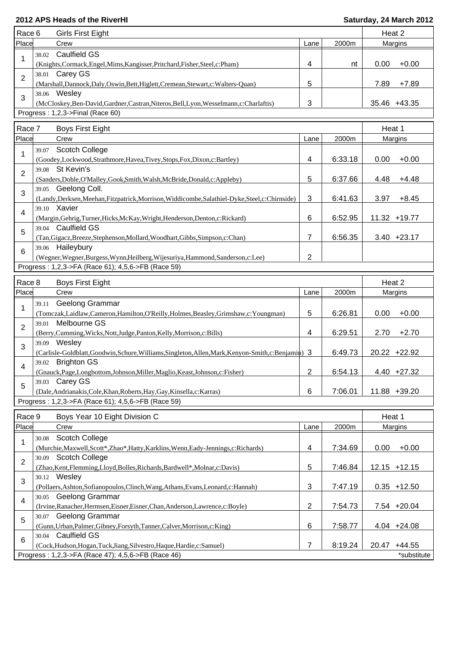| Race 6                  | <b>Girls First Eight</b>                                                                                    |      |         | Heat 2          |
|-------------------------|-------------------------------------------------------------------------------------------------------------|------|---------|-----------------|
| Place                   | Crew                                                                                                        | Lane | 2000m   | Margins         |
| 38.02                   | <b>Caulfield GS</b>                                                                                         |      |         |                 |
| 1                       | (Knights, Cormack, Engel, Mims, Kangisser, Pritchard, Fisher, Steel, c: Pham)                               | 4    | nt      | 0.00<br>$+0.00$ |
| 2                       | 38.01 Carey GS                                                                                              |      |         |                 |
|                         | (Marshall, Dannock, Daly, Oswin, Bett, Higlett, Cremean, Stewart, c: Walters-Quan)                          | 5    |         | 7.89<br>$+7.89$ |
| 3                       | 38.06 Wesley                                                                                                |      |         |                 |
|                         | (McCloskey, Ben-David, Gardner, Castran, Niteros, Bell, Lyon, Wesselmann, c: Charlaftis)                    | 3    |         | 35.46 +43.35    |
|                         | Progress: 1,2,3->Final (Race 60)                                                                            |      |         |                 |
| Race 7                  | <b>Boys First Eight</b>                                                                                     |      |         | Heat 1          |
| Place                   | Crew                                                                                                        | Lane | 2000m   | Margins         |
| 39.07                   | <b>Scotch College</b>                                                                                       |      |         |                 |
| 1                       | (Goodey,Lockwood,Strathmore,Havea,Tivey,Stops,Fox,Dixon,c:Bartley)                                          | 4    | 6:33.18 | $+0.00$<br>0.00 |
| 39.08                   | St Kevin's                                                                                                  |      |         |                 |
| $\overline{2}$          | (Sanders, Doble, O'Malley, Gook, Smith, Walsh, McBride, Donald, c: Appleby)                                 | 5    | 6:37.66 | 4.48<br>$+4.48$ |
| 3                       | 39.05 Geelong Coll.                                                                                         |      |         |                 |
|                         | (Landy, Derksen, Meehan, Fitzpatrick, Morrison, Widdicombe, Salathiel-Dyke, Steel, c: Chirnside)            | 3    | 6:41.63 | $+8.45$<br>3.97 |
| 4                       | 39.10 Xavier                                                                                                |      |         |                 |
|                         | (Margin, Gehrig, Turner, Hicks, McKay, Wright, Henderson, Denton, c: Rickard)                               | 6    | 6:52.95 | 11.32 +19.77    |
| 5                       | 39.04 Caulfield GS                                                                                          |      |         |                 |
|                         | (Tan, Gigacz, Breeze, Stephenson, Mollard, Woodhart, Gibbs, Simpson, c: Chan)                               | 7    | 6:56.35 | $3.40 +23.17$   |
| 6                       | 39.06 Haileybury                                                                                            |      |         |                 |
|                         | (Wegner, Wegner, Burgess, Wynn, Heilberg, Wijesuriya, Hammond, Sanderson, c: Lee)                           | 2    |         |                 |
|                         | Progress: 1,2,3->FA (Race 61); 4,5,6->FB (Race 59)                                                          |      |         |                 |
| Race 8                  | <b>Boys First Eight</b>                                                                                     |      |         | Heat 2          |
| Place                   | Crew                                                                                                        | Lane | 2000m   | Margins         |
| 39.11<br>1              | Geelong Grammar                                                                                             |      |         |                 |
|                         | (Tomczak,Laidlaw,Cameron,Hamilton,O'Reilly,Holmes,Beasley,Grimshaw,c:Youngman)                              | 5    | 6:26.81 | 0.00<br>$+0.00$ |
| 39.01<br>$\overline{2}$ | Melbourne GS                                                                                                |      |         |                 |
|                         | (Berry, Cumming, Wicks, Nott, Judge, Panton, Kelly, Morrison, c: Bills)                                     | 4    | 6:29.51 | $+2.70$<br>2.70 |
| 3                       | 39.09 Wesley                                                                                                |      |         |                 |
|                         | (Carlisle-Goldblatt,Goodwin,Schure,Williams,Singleton,Allen,Mark,Kenyon-Smith,c:Benjamin) 3                 |      | 6:49.73 | 20.22 +22.92    |
| 39.02<br>4              | <b>Brighton GS</b>                                                                                          |      |         |                 |
|                         | (Gnauck, Page, Longbottom, Johnson, Miller, Maglio, Keast, Johnson, c: Fisher)                              | 2    | 6:54.13 | $4.40 +27.32$   |
| 39.03<br>5              | Carey GS<br>(Dale, Andrianakis, Cole, Khan, Roberts, Hay, Gay, Kinsella, c: Karras)                         | 6    | 7:06.01 | 11.88 +39.20    |
|                         | Progress: 1,2,3->FA (Race 61); 4,5,6->FB (Race 59)                                                          |      |         |                 |
|                         |                                                                                                             |      |         |                 |
| Race 9                  | Boys Year 10 Eight Division C                                                                               |      |         | Heat 1          |
| Place                   | Crew                                                                                                        | Lane | 2000m   | Margins         |
| 30.08<br>1              | <b>Scotch College</b>                                                                                       |      |         |                 |
|                         | (Murchie, Maxwell, Scott*, Zhao*, Hatty, Karklins, Wenn, Eady-Jennings, c: Richards)                        | 4    | 7:34.69 | 0.00<br>$+0.00$ |
| $\overline{2}$          | 30.09 Scotch College                                                                                        |      |         |                 |
|                         | (Zhao, Kent, Flemming, Lloyd, Bolles, Richards, Bardwell*, Molnar, c: Davis)                                | 5    | 7:46.84 | $12.15 + 12.15$ |
| 3                       | 30.12 Wesley                                                                                                |      |         |                 |
|                         | (Pollaers, Ashton, Sofianopoulos, Clinch, Wang, Athans, Evans, Leonard, c: Hannah)<br>30.05 Geelong Grammar | 3    | 7:47.19 | $0.35 + 12.50$  |
| 4                       | (Irvine, Ranacher, Hermsen, Eisner, Eisner, Chan, Anderson, Lawrence, c: Boyle)                             | 2    | 7:54.73 | 7.54 +20.04     |
|                         | 30.07 Geelong Grammar                                                                                       |      |         |                 |
| 5                       | (Gunn, Urban, Palmer, Gibney, Forsyth, Tanner, Calver, Morrison, c: King)                                   | 6    | 7:58.77 | $4.04 +24.08$   |
|                         | 30.04 Caulfield GS                                                                                          |      |         |                 |
| 6                       | (Cock, Hudson, Hogan, Tuck, Jiang, Silvestro, Haque, Hardie, c: Samuel)                                     | 7    | 8:19.24 | 20.47 +44.55    |
|                         | Progress: 1,2,3->FA (Race 47); 4,5,6->FB (Race 46)                                                          |      |         | *substitute     |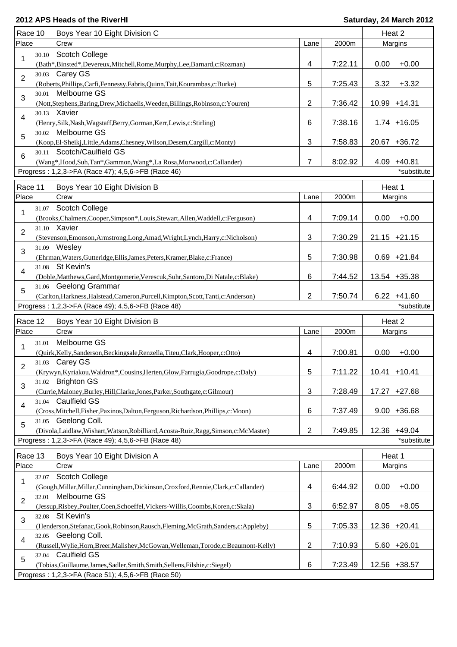|                  | Race 10      | Boys Year 10 Eight Division C                                                                                                                             |                         |         |        | Heat 2          |
|------------------|--------------|-----------------------------------------------------------------------------------------------------------------------------------------------------------|-------------------------|---------|--------|-----------------|
| Place            |              | Crew                                                                                                                                                      | Lane                    | 2000m   |        | Margins         |
| 1                | 30.10        | <b>Scotch College</b><br>(Bath*,Binsted*,Devereux,Mitchell,Rome,Murphy,Lee,Barnard,c:Rozman)                                                              | 4                       | 7:22.11 | 0.00   | $+0.00$         |
| $\overline{2}$   |              | 30.03 Carey GS                                                                                                                                            | 5                       |         |        | $+3.32$         |
|                  | 30.01        | (Roberts, Phillips, Carfi, Fennessy, Fabris, Quinn, Tait, Kourambas, c: Burke)<br>Melbourne GS                                                            |                         | 7:25.43 | 3.32   |                 |
| 3                |              | (Nott, Stephens, Baring, Drew, Michaelis, Weeden, Billings, Robinson, c: Youren)                                                                          | 2                       | 7:36.42 |        | 10.99 +14.31    |
| 4                | 30.13 Xavier | (Henry, Silk, Nash, Wagstaff, Berry, Gorman, Kerr, Lewis, c: Stirling)                                                                                    | 6                       | 7:38.16 |        | $1.74 + 16.05$  |
| 5                |              | 30.02 Melbourne GS<br>(Koop,El-Sheikj,Little,Adams,Chesney,Wilson,Desem,Cargill,c:Monty)                                                                  | $\mathbf{3}$            | 7:58.83 |        | 20.67 +36.72    |
| $6\phantom{1}$   |              | 30.11 Scotch/Caulfield GS<br>(Wang*,Hood,Suh,Tan*,Gammon,Wang*,La Rosa,Morwood,c:Callander)                                                               | $\overline{7}$          | 8:02.92 |        | 4.09 +40.81     |
|                  |              | Progress: 1,2,3->FA (Race 47); 4,5,6->FB (Race 46)                                                                                                        |                         |         |        | *substitute     |
|                  |              |                                                                                                                                                           |                         |         |        |                 |
| Race 11          |              | Boys Year 10 Eight Division B                                                                                                                             |                         |         | Heat 1 |                 |
| Place            |              | Crew                                                                                                                                                      | Lane                    | 2000m   |        | Margins         |
| 1                | 31.07        | <b>Scotch College</b>                                                                                                                                     |                         |         |        |                 |
|                  | 31.10 Xavier | (Brooks,Chalmers,Cooper,Simpson*,Louis,Stewart,Allen,Waddell,c:Ferguson)                                                                                  | 4                       | 7:09.14 | 0.00   | $+0.00$         |
| $\overline{2}$   |              | (Stevenson, Emonson, Armstrong, Long, Amad, Wright, Lynch, Harry, c: Nicholson)                                                                           | 3                       | 7:30.29 |        | $21.15 + 21.15$ |
| 3                | 31.09 Wesley | (Ehrman, Waters, Gutteridge, Ellis, James, Peters, Kramer, Blake, c: France)                                                                              | 5                       | 7:30.98 |        | $0.69 + 21.84$  |
| 4                |              | 31.08 St Kevin's<br>(Doble, Matthews, Gard, Montgomerie, Verescuk, Suhr, Santoro, Di Natale, c: Blake)                                                    | 6                       | 7:44.52 |        | 13.54 +35.38    |
| 5                |              | 31.06 Geelong Grammar<br>(Carlton, Harkness, Halstead, Cameron, Purcell, Kimpton, Scott, Tanti, c: Anderson)                                              | $\overline{2}$          | 7:50.74 |        | $6.22 + 41.60$  |
|                  |              | Progress: 1,2,3->FA (Race 49); 4,5,6->FB (Race 48)                                                                                                        |                         |         |        | *substitute     |
|                  |              |                                                                                                                                                           |                         |         |        |                 |
| Race 12<br>Place |              | Boys Year 10 Eight Division B<br>Crew                                                                                                                     | Lane                    | 2000m   |        | Heat 2          |
|                  |              |                                                                                                                                                           |                         |         |        | Margins         |
|                  |              |                                                                                                                                                           |                         |         |        |                 |
| 1                | 31.01        | Melbourne GS<br>(Quirk, Kelly, Sanderson, Beckingsale, Renzella, Titeu, Clark, Hooper, c: Otto)                                                           | 4                       | 7:00.81 | 0.00   | $+0.00$         |
| 2                |              | 31.03 Carey GS<br>(Krywyn, Kyriakou, Waldron*, Cousins, Herten, Glow, Farrugia, Goodrope, c: Daly)                                                        | 5                       | 7:11.22 |        | $10.41 + 10.41$ |
| 3                |              | 31.02 Brighton GS                                                                                                                                         | $\mathbf{3}$            | 7:28.49 |        | 17.27 +27.68    |
| $\overline{4}$   |              | (Currie, Maloney, Burley, Hill, Clarke, Jones, Parker, Southgate, c: Gilmour)<br>31.04 Caulfield GS                                                       |                         |         |        |                 |
|                  |              | (Cross, Mitchell, Fisher, Paxinos, Dalton, Ferguson, Richardson, Phillips, c: Moon)                                                                       | 6                       | 7:37.49 |        | $9.00 + 36.68$  |
| 5                |              | 31.05 Geelong Coll.<br>(Divola,Laidlaw,Wishart,Watson,Robilliard,Acosta-Ruiz,Ragg,Simson,c:McMaster)                                                      | $\overline{2}$          | 7:49.85 |        | 12.36 +49.04    |
|                  |              | Progress: 1,2,3->FA (Race 49); 4,5,6->FB (Race 48)                                                                                                        |                         |         |        | *substitute     |
| Race 13          |              | Boys Year 10 Eight Division A                                                                                                                             |                         |         | Heat 1 |                 |
| Place            |              | Crew                                                                                                                                                      | Lane                    | 2000m   |        | Margins         |
| 1                | 32.07        | <b>Scotch College</b>                                                                                                                                     |                         |         |        |                 |
| 2                |              | (Gough, Millar, Millar, Cunningham, Dickinson, Croxford, Rennie, Clark, c: Callander)<br>32.01 Melbourne GS                                               | $\overline{\mathbf{4}}$ | 6:44.92 | 0.00   | $+0.00$         |
|                  |              | (Jessup, Risbey, Poulter, Coen, Schoeffel, Vickers-Willis, Coombs, Koren, c: Skala)<br>32.08 St Kevin's                                                   | $\mathbf{3}$            | 6:52.97 | 8.05   | $+8.05$         |
| 3                |              | (Henderson, Stefanac, Gook, Robinson, Rausch, Fleming, McGrath, Sanders, c: Appleby)                                                                      | 5                       | 7:05.33 |        | 12.36 +20.41    |
| 4                |              | 32.05 Geelong Coll.<br>(Russell, Wylie, Horn, Breer, Malishev, McGowan, Welleman, Torode, c: Beaumont-Kelly)                                              | $\overline{2}$          | 7:10.93 |        | $5.60 +26.01$   |
| 5                |              | 32.04 Caulfield GS<br>(Tobias, Guillaume, James, Sadler, Smith, Smith, Sellens, Filshie, c: Siegel)<br>Progress: 1,2,3->FA (Race 51); 4,5,6->FB (Race 50) | 6                       | 7:23.49 |        | 12.56 +38.57    |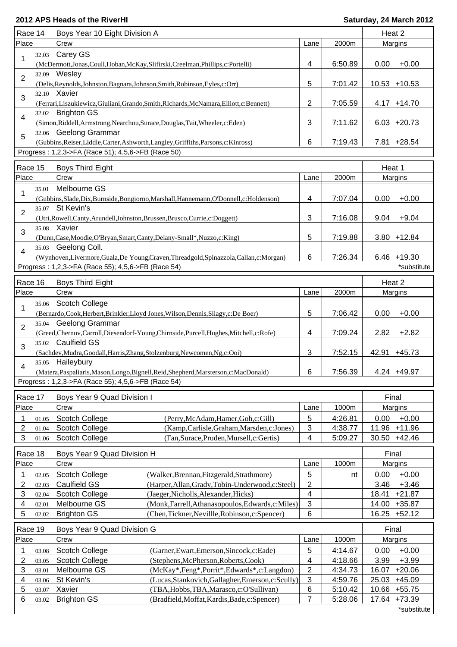| Race 14                 |       | Boys Year 10 Eight Division A                                                              |                                                                                  |                |         | Heat 2 |                 |
|-------------------------|-------|--------------------------------------------------------------------------------------------|----------------------------------------------------------------------------------|----------------|---------|--------|-----------------|
| Place                   |       | Crew                                                                                       |                                                                                  | Lane           | 2000m   |        | Margins         |
|                         | 32.03 | Carey GS                                                                                   |                                                                                  |                |         |        |                 |
| 1                       |       | (McDermott,Jonas,Coull,Hoban,McKay,Slifirski,Creelman,Phillips,c:Portelli)                 |                                                                                  | 4              | 6:50.89 | 0.00   | $+0.00$         |
|                         |       | 32.09 Wesley                                                                               |                                                                                  |                |         |        |                 |
| $\overline{2}$          |       | (Delis, Reynolds, Johnston, Bagnara, Johnson, Smith, Robinson, Eyles, c: Orr)              |                                                                                  | 5              | 7:01.42 |        | $10.53 + 10.53$ |
|                         |       | 32.10 Xavier                                                                               |                                                                                  |                |         |        |                 |
| 3                       |       | (Ferrari, Liszukiewicz, Giuliani, Grando, Smith, RIchards, McNamara, Elliott, c: Bennett)  |                                                                                  | $\mathbf{2}$   | 7:05.59 |        | $4.17 + 14.70$  |
|                         |       | 32.02 Brighton GS                                                                          |                                                                                  |                |         |        |                 |
| 4                       |       | (Simon, Riddell, Armstrong, Nearchou, Surace, Douglas, Tait, Wheeler, c: Eden)             |                                                                                  | 3              | 7:11.62 |        | $6.03 +20.73$   |
|                         |       | 32.06 Geelong Grammar                                                                      |                                                                                  |                |         |        |                 |
| 5                       |       | (Gubbins, Reiser, Liddle, Carter, Ashworth, Langley, Griffiths, Parsons, c: Kinross)       |                                                                                  | 6              | 7:19.43 |        | 7.81 +28.54     |
|                         |       | Progress: 1,2,3->FA (Race 51); 4,5,6->FB (Race 50)                                         |                                                                                  |                |         |        |                 |
|                         |       |                                                                                            |                                                                                  |                |         |        |                 |
| Race 15                 |       | <b>Boys Third Eight</b>                                                                    |                                                                                  |                |         | Heat 1 |                 |
| Place                   |       | Crew                                                                                       |                                                                                  | Lane           | 2000m   |        | Margins         |
|                         | 35.01 | Melbourne GS                                                                               |                                                                                  |                |         |        |                 |
| 1                       |       | (Gubbins, Slade, Dix, Burnside, Bongiorno, Marshall, Hannemann, O'Donnell, c: Holdenson)   |                                                                                  | 4              | 7:07.04 | 0.00   | $+0.00$         |
|                         |       | 35.07 St Kevin's                                                                           |                                                                                  |                |         |        |                 |
| $\overline{2}$          |       | (Utri, Rowell, Canty, Arundell, Johnston, Brussen, Brusco, Currie, c: Doggett)             |                                                                                  | 3              | 7:16.08 | 9.04   | $+9.04$         |
|                         |       | 35.08 Xavier                                                                               |                                                                                  |                |         |        |                 |
| 3                       |       | (Dunn, Case, Moodie, O'Bryan, Smart, Canty, Delany-Small*, Nuzzo, c: King)                 |                                                                                  | 5              | 7:19.88 |        | $3.80 + 12.84$  |
|                         |       | 35.03 Geelong Coll.                                                                        |                                                                                  |                |         |        |                 |
| 4                       |       |                                                                                            | (Wynhoven,Livermore,Guala,De Young,Craven,Threadgold,Spinazzola,Callan,c:Morgan) | 6              | 7:26.34 |        | $6.46 + 19.30$  |
|                         |       | Progress: 1,2,3->FA (Race 55); 4,5,6->FB (Race 54)                                         |                                                                                  |                |         |        | *substitute     |
|                         |       |                                                                                            |                                                                                  |                |         |        |                 |
| Race 16                 |       | <b>Boys Third Eight</b>                                                                    |                                                                                  |                |         | Heat 2 |                 |
| Place                   |       | Crew                                                                                       |                                                                                  | Lane           | 2000m   |        | Margins         |
| 1                       | 35.06 | <b>Scotch College</b>                                                                      |                                                                                  |                |         |        |                 |
|                         |       | (Bernardo, Cook, Herbert, Brinkler, Lloyd Jones, Wilson, Dennis, Silagy, c: De Boer)       |                                                                                  | 5              | 7:06.42 | 0.00   | $+0.00$         |
| $\overline{2}$          | 35.04 | Geelong Grammar                                                                            |                                                                                  |                |         |        |                 |
|                         |       | (Greed, Chernov, Carroll, Diesendorf-Young, Chirnside, Purcell, Hughes, Mitchell, c: Rofe) |                                                                                  | 4              | 7:09.24 | 2.82   | $+2.82$         |
| 3                       |       | 35.02 Caulfield GS                                                                         |                                                                                  |                |         |        |                 |
|                         |       | (Sachdev, Mudra, Goodall, Harris, Zhang, Stolzenburg, Newcomen, Ng, c: Ooi)                |                                                                                  | 3              | 7:52.15 | 42.91  | $+45.73$        |
|                         |       | 35.05 Haileybury                                                                           |                                                                                  |                |         |        |                 |
| 4                       |       | (Matera, Paspaliaris, Mason, Longo, Bignell, Reid, Shepherd, Marsterson, c: MacDonald)     |                                                                                  | 6              | 7:56.39 |        | 4.24 +49.97     |
|                         |       | Progress: 1,2,3->FA (Race 55); 4,5,6->FB (Race 54)                                         |                                                                                  |                |         |        |                 |
|                         |       |                                                                                            |                                                                                  |                |         |        |                 |
| Race 17                 |       | Boys Year 9 Quad Division I                                                                |                                                                                  |                |         | Final  |                 |
| Place                   |       | Crew                                                                                       |                                                                                  | Lane           | 1000m   |        | Margins         |
| 1                       | 01.05 | Scotch College                                                                             | (Perry, McAdam, Hamer, Goh, c: Gill)                                             | 5              | 4:26.81 | 0.00   | $+0.00$         |
| 2                       | 01.04 | <b>Scotch College</b>                                                                      | (Kamp, Carlisle, Graham, Marsden, c: Jones)                                      | $\mathbf{3}$   | 4:38.77 | 11.96  | $+11.96$        |
| 3                       | 01.06 | <b>Scotch College</b>                                                                      | (Fan, Surace, Pruden, Mursell, c: Gertis)                                        | 4              | 5:09.27 | 30.50  | $+42.46$        |
| Race 18                 |       | Boys Year 9 Quad Division H                                                                |                                                                                  |                |         | Final  |                 |
| Place                   |       | Crew                                                                                       |                                                                                  | Lane           | 1000m   |        | Margins         |
| 1                       | 02.05 | Scotch College                                                                             | (Walker, Brennan, Fitzgerald, Strathmore)                                        | 5              | nt      | 0.00   | $+0.00$         |
| 2                       | 02.03 | Caulfield GS                                                                               | (Harper, Allan, Grady, Tobin-Underwood, c: Steel)                                | $\overline{c}$ |         | 3.46   | $+3.46$         |
| 3                       |       | Scotch College                                                                             | (Jaeger, Nicholls, Alexander, Hicks)                                             |                |         | 18.41  | $+21.87$        |
|                         | 02.04 | Melbourne GS                                                                               | (Monk, Farrell, Athanasopoulos, Edwards, c: Miles)                               | 4<br>3         |         | 14.00  | $+35.87$        |
| 4                       | 02.01 |                                                                                            |                                                                                  |                |         |        |                 |
| 5                       | 02.02 | <b>Brighton GS</b>                                                                         | (Chen, Tickner, Nevillle, Robinson, c: Spencer)                                  | 6              |         | 16.25  | $+52.12$        |
| Race 19                 |       | Boys Year 9 Quad Division G                                                                |                                                                                  |                |         | Final  |                 |
| Place                   |       | Crew                                                                                       |                                                                                  | Lane           | 1000m   |        | Margins         |
| 1                       | 03.08 | <b>Scotch College</b>                                                                      | (Garner, Ewart, Emerson, Sincock, c: Eade)                                       | 5              | 4:14.67 | 0.00   | $+0.00$         |
| $\overline{\mathbf{c}}$ | 03.05 | Scotch College                                                                             | (Stephens, McPherson, Roberts, Cook)                                             | 4              | 4:18.66 | 3.99   | $+3.99$         |
| 3                       | 03.01 | Melbourne GS                                                                               | (McKay*,Feng*,Porrit*,Edwards*,c:Langdon)                                        | $\sqrt{2}$     | 4:34.73 | 16.07  | $+20.06$        |
| 4                       | 03.06 | St Kevin's                                                                                 | (Lucas, Stankovich, Gallagher, Emerson, c: Scully)                               | $\mathbf{3}$   | 4:59.76 | 25.03  | $+45.09$        |
| 5                       | 03.07 | Xavier                                                                                     | (TBA, Hobbs, TBA, Marasco, c: O'Sullivan)                                        | 6              | 5:10.42 | 10.66  | $+55.75$        |
| 6                       | 03.02 | <b>Brighton GS</b>                                                                         | (Bradfield, Moffat, Kardis, Bade, c: Spencer)                                    | 7              | 5:28.06 | 17.64  | $+73.39$        |
|                         |       |                                                                                            |                                                                                  |                |         |        | *substitute     |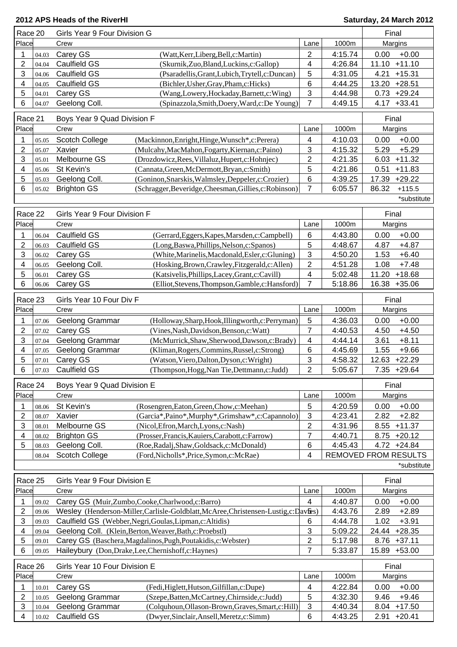| Race 20             |                | Girls Year 9 Four Division G                             |                                                                                                      |                 |                             |              | Final         |
|---------------------|----------------|----------------------------------------------------------|------------------------------------------------------------------------------------------------------|-----------------|-----------------------------|--------------|---------------|
| Place               |                | Crew                                                     |                                                                                                      | Lane            | 1000m                       |              | Margins       |
| 1                   | 04.03          | Carey GS                                                 | (Watt,Kerr,Liberg,Bell,c:Martin)                                                                     | 2               | 4:15.74                     | 0.00         | $+0.00$       |
| 2                   | 04.04          | Caulfield GS                                             | (Skurnik, Zuo, Bland, Luckins, c: Gallop)                                                            | 4               | 4:26.84                     | 11.10        | $+11.10$      |
| 3                   | 04.06          | Caulfield GS                                             | (Psaradellis, Grant, Lubich, Trytell, c: Duncan)                                                     | 5               | 4:31.05                     | 4.21         | $+15.31$      |
| 4                   | 04.05          | Caulfield GS                                             | (Bichler, Usher, Gray, Pham, c: Hicks)                                                               | 6               | 4:44.25                     | 13.20        | $+28.51$      |
| 5                   | 04.01          | Carey GS                                                 | (Wang,Lowery,Hockaday,Barnett,c:Wing)                                                                | 3               | 4:44.98                     | 0.73         | $+29.24$      |
| 6                   | 04.07          | Geelong Coll.                                            | (Spinazzola,Smith,Doery,Ward,c:De Young)                                                             | 7               | 4:49.15                     | 4.17         | $+33.41$      |
|                     |                |                                                          |                                                                                                      |                 |                             |              |               |
| Race 21             |                | Boys Year 9 Quad Division F                              |                                                                                                      |                 |                             |              | Final         |
| Place               |                | Crew                                                     |                                                                                                      | Lane            | 1000m                       |              | Margins       |
| 1                   | 05.05          | Scotch College                                           | (Mackinnon, Enright, Hinge, Wunsch*, c: Perera)                                                      | 4               | 4:10.03                     | 0.00         | $+0.00$       |
| 2                   | 05.07          | Xavier                                                   | (Mulcahy, MacMahon, Fogarty, Kiernan, c: Paino)                                                      | 3               | 4:15.32                     | 5.29         | $+5.29$       |
| 3                   | 05.01          | Melbourne GS                                             | (Drozdowicz, Rees, Villaluz, Hupert, c: Hohnjec)                                                     | $\overline{c}$  | 4:21.35                     | 6.03         | $+11.32$      |
| 4                   | 05.06          | St Kevin's                                               | (Cannata, Green, McDermott, Bryan, c: Smith)                                                         | 5               | 4:21.86                     | 0.51         | $+11.83$      |
| 5                   | 05.03          | Geelong Coll.                                            | (Goninon, Snarskis, Walmsley, Deppeler, c: Crozier)                                                  | 6               | 4:39.25                     | 17.39        | $+29.22$      |
| 6                   | 05.02          | <b>Brighton GS</b>                                       | (Schragger, Beveridge, Cheesman, Gillies, c: Robinson)                                               | 7               | 6:05.57                     | 86.32        | $+115.5$      |
|                     |                |                                                          |                                                                                                      |                 |                             |              | *substitute   |
|                     |                |                                                          |                                                                                                      |                 |                             |              |               |
| Race 22             |                | Girls Year 9 Four Division F                             |                                                                                                      |                 |                             |              | Final         |
| Place               |                | Crew                                                     |                                                                                                      | Lane            | 1000m                       |              | Margins       |
| 1                   | 06.04          | <b>Caulfield GS</b>                                      | (Gerrard, Eggers, Kapes, Marsden, c: Campbell)                                                       | $6\phantom{1}6$ | 4:43.80                     | 0.00         | $+0.00$       |
| 2                   | 06.03          | Caulfield GS                                             | (Long, Baswa, Phillips, Nelson, c: Spanos)                                                           | 5               | 4:48.67                     | 4.87         | $+4.87$       |
| 3                   | 06.02          | Carey GS                                                 | (White, Marinelis, Macdonald, Esler, c: Gluning)                                                     | 3               | 4:50.20                     | 1.53         | $+6.40$       |
| 4                   | 06.05          | Geelong Coll.                                            | (Hosking, Brown, Crawley, Fitzgerald, c: Allen)                                                      | $\overline{c}$  | 4:51.28                     | 1.08         | $+7.48$       |
| 5                   | 06.01          | Carey GS                                                 | (Katsivelis, Phillips, Lacey, Grant, c: Cavill)                                                      | 4               | 5:02.48                     | 11.20        | $+18.68$      |
| 6                   | 06.06          | Carey GS                                                 | (Elliot, Stevens, Thompson, Gamble, c: Hansford)                                                     | $\overline{7}$  | 5:18.86                     |              | 16.38 +35.06  |
|                     |                |                                                          |                                                                                                      |                 |                             |              |               |
| Race 23             |                | Girls Year 10 Four Div F                                 |                                                                                                      |                 |                             |              | Final         |
| Place               |                | Crew                                                     |                                                                                                      | Lane            | 1000m                       |              | Margins       |
| 1                   | 07.06          | Geelong Grammar                                          | (Holloway, Sharp, Hook, Illingworth, c: Perryman)                                                    | 5               | 4:36.03                     | 0.00         | $+0.00$       |
| 2                   | 07.02          | Carey GS                                                 | (Vines, Nash, Davidson, Benson, c: Watt)                                                             | 7               | 4:40.53                     | 4.50         | $+4.50$       |
| 3                   | 07.04          | Geelong Grammar                                          | (McMurrick,Shaw,Sherwood,Dawson,c:Brady)                                                             | 4               | 4:44.14                     | 3.61         | $+8.11$       |
| 4                   | 07.05          | <b>Geelong Grammar</b>                                   | (Kliman, Rogers, Commins, Russel, c: Strong)                                                         | 6               | 4:45.69                     | 1.55         | $+9.66$       |
| 5                   | 07.01          | Carey GS                                                 | (Watson, Viero, Dalton, Dyson, c: Wright)                                                            | 3               | 4:58.32                     | 12.63        | $+22.29$      |
| 6                   | 07.03          | <b>Caulfield GS</b>                                      | (Thompson, Hogg, Nan Tie, Dettmann, c: Judd)                                                         | $\overline{2}$  | 5:05.67                     |              | 7.35 +29.64   |
|                     |                |                                                          |                                                                                                      |                 |                             |              |               |
| Race 24             |                | Boys Year 9 Quad Division E                              |                                                                                                      |                 |                             | Final        |               |
| Place               |                | Crew                                                     |                                                                                                      | Lane            | 1000m                       |              | Margins       |
| 1                   | 08.06          | St Kevin's                                               | (Rosengren, Eaton, Green, Chow, c: Meehan)                                                           | 5               | 4:20.59                     | 0.00         | $+0.00$       |
| $\overline{c}$      | 08.07          | Xavier                                                   | (Garcia*, Paino*, Murphy*, Grimshaw*, c: Capannolo)                                                  | 3               | 4:23.41                     | 2.82         | $+2.82$       |
| 3                   | 08.01          | Melbourne GS                                             | (Nicol, Efron, March, Lyons, c: Nash)                                                                | $\overline{2}$  | 4:31.96                     | 8.55         | $+11.37$      |
| 4                   | 08.02          | <b>Brighton GS</b>                                       | (Prosser, Francis, Kauiers, Carabott, c: Farrow)                                                     | $\overline{7}$  | 4:40.71                     |              | $8.75 +20.12$ |
| 5                   | 08.03          | Geelong Coll.                                            | (Roe, Radalj, Shaw, Goldsack, c: McDonald)                                                           | 6               | 4:45.43                     |              | $4.72 +24.84$ |
|                     | 08.04          | Scotch College                                           | (Ford, Nicholls*, Price, Symon, c: McRae)                                                            | 4               | <b>REMOVED FROM RESULTS</b> |              |               |
|                     |                |                                                          |                                                                                                      |                 |                             |              | *substitute   |
| Race 25             |                | Girls Year 9 Four Division E                             |                                                                                                      |                 |                             |              | Final         |
| Place               |                | Crew                                                     |                                                                                                      | Lane            | 1000m                       |              |               |
|                     |                |                                                          |                                                                                                      |                 |                             |              | Margins       |
| 1                   | 09.02          | Carey GS (Muir,Zumbo,Cooke,Charlwood,c:Barro)            |                                                                                                      | 4               | 4:40.87                     | 0.00         | $+0.00$       |
| 2                   | 09.06          |                                                          | Wesley (Henderson-Miller, Carlisle-Goldblatt, McAree, Christensen-Lustig, c: Davtes)                 |                 | 4:43.76                     | 2.89         | $+2.89$       |
| 3                   | 09.03          | Caulfield GS (Webber, Negri, Goulas, Lipman, c: Altidis) |                                                                                                      | 6               | 4:44.78                     | 1.02         | $+3.91$       |
| 4                   | 09.04          | Geelong Coll. (Klein, Berton, Weaver, Bath, c: Proebstl) |                                                                                                      | 3               | 5:09.22                     | 24.44        | $+28.35$      |
| 5                   | 09.01          |                                                          | Carey GS (Baschera, Magdalinos, Pugh, Poutakidis, c: Webster)                                        | 2               | 5:17.98                     |              | 8.76 +37.11   |
| 6                   | 09.05          | Haileybury (Don, Drake, Lee, Chernishoff, c: Haynes)     |                                                                                                      | 7               | 5:33.87                     | 15.89        | $+53.00$      |
| Race 26             |                | Girls Year 10 Four Division E                            |                                                                                                      |                 |                             |              | Final         |
| Place               |                | Crew                                                     |                                                                                                      | Lane            | 1000m                       |              | Margins       |
|                     |                | Carey GS                                                 |                                                                                                      |                 | 4:22.84                     | 0.00         | $+0.00$       |
| 1<br>$\overline{c}$ | 10.01          |                                                          | (Fedi, Higlett, Hutson, Gilfillan, c: Dupe)                                                          | 4<br>5          | 4:32.30                     | 9.46         | $+9.46$       |
| 3                   | 10.05          | Geelong Grammar<br>Geelong Grammar                       | (Szepe, Batten, McCartney, Chirnside, c: Judd)<br>(Colquhoun, Ollason-Brown, Graves, Smart, c: Hill) | 3               |                             |              | $+17.50$      |
|                     | 10.04<br>10.02 | Caulfield GS                                             | (Dwyer, Sinclair, Ansell, Meretz, c: Simm)                                                           | 6               | 4:40.34<br>4:43.25          | 8.04<br>2.91 | $+20.41$      |
| 4                   |                |                                                          |                                                                                                      |                 |                             |              |               |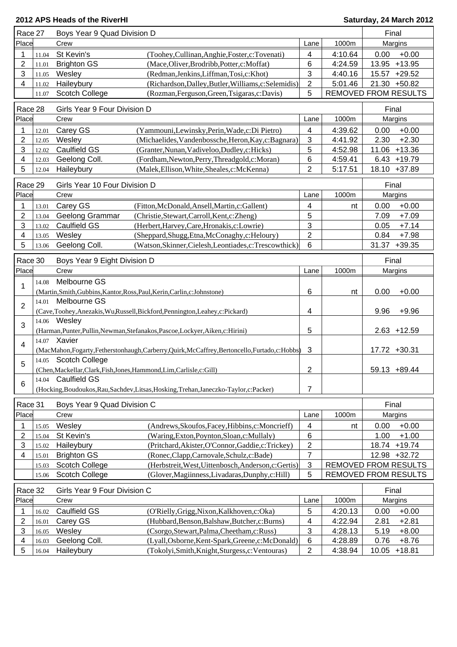| Race 27                 | Boys Year 9 Quad Division D |                                                                        | Final                                                                                            |                           |                             |              |                                |
|-------------------------|-----------------------------|------------------------------------------------------------------------|--------------------------------------------------------------------------------------------------|---------------------------|-----------------------------|--------------|--------------------------------|
| Place                   |                             | Crew                                                                   |                                                                                                  | Lane                      | 1000m                       |              | Margins                        |
| 1                       | 11.04                       | St Kevin's                                                             | (Toohey, Cullinan, Anghie, Foster, c: Tovenati)                                                  | 4                         | 4:10.64                     | 0.00         | $+0.00$                        |
| $\overline{2}$          | 11.01                       | <b>Brighton GS</b>                                                     | (Mace, Oliver, Brodribb, Potter, c: Moffat)                                                      | 6                         | 4:24.59                     |              | 13.95 +13.95                   |
| 3                       | 11.05                       | Wesley                                                                 | (Redman, Jenkins, Liffman, Tosi, c: Khot)                                                        | 3                         | 4:40.16                     |              | 15.57 +29.52                   |
| $\overline{4}$          | 11.02                       | Haileybury                                                             | (Richardson, Dalley, Butler, Williams, c: Selemidis)                                             | $\overline{c}$            | 5:01.46                     |              | 21.30 +50.82                   |
|                         | 11.07                       | Scotch College                                                         | (Rozman, Ferguson, Green, Tsigaras, c: Davis)                                                    | 5                         | <b>REMOVED FROM RESULTS</b> |              |                                |
| Race 28                 |                             | Girls Year 9 Four Division D                                           |                                                                                                  |                           |                             | Final        |                                |
| Place                   |                             |                                                                        |                                                                                                  |                           | 1000m                       |              |                                |
|                         |                             | Crew                                                                   |                                                                                                  | Lane                      |                             |              | Margins                        |
| 1                       | 12.01                       | Carey GS                                                               | (Yammouni,Lewinsky,Perin,Wade,c:Di Pietro)                                                       | 4                         | 4:39.62                     | 0.00         | $+0.00$                        |
| 2                       | 12.05                       | Wesley                                                                 | (Michaelides, Vandenbossche, Heron, Kay, c: Bagnara)                                             | $\mathfrak{S}$            | 4:41.92                     | 2.30         | $+2.30$                        |
| 3                       | 12.02                       | Caulfield GS<br>Geelong Coll.                                          | (Granter, Nunan, Vadiveloo, Dudley, c: Hicks)<br>(Fordham, Newton, Perry, Threadgold, c: Moran)  | 5                         | 4:52.98                     |              | 11.06 +13.36<br>$6.43 + 19.79$ |
| 4<br>5                  | 12.03<br>12.04              | Haileybury                                                             | (Malek, Ellison, White, Sheales, c: McKenna)                                                     | 6<br>$\overline{2}$       | 4:59.41<br>5:17.51          |              | 18.10 +37.89                   |
|                         |                             |                                                                        |                                                                                                  |                           |                             |              |                                |
| Race 29                 |                             | Girls Year 10 Four Division D                                          |                                                                                                  |                           |                             | Final        |                                |
| Place                   |                             | Crew                                                                   |                                                                                                  | Lane                      | 1000m                       |              | Margins                        |
| 1                       | 13.01                       | Carey GS                                                               | (Fitton, McDonald, Ansell, Martin, c: Gallent)                                                   | 4                         | nt                          | 0.00         | $+0.00$                        |
| 2                       | 13.04                       | Geelong Grammar                                                        | (Christie, Stewart, Carroll, Kent, c: Zheng)                                                     | 5                         |                             | 7.09         | $+7.09$                        |
| 3                       | 13.02                       | Caulfield GS                                                           | (Herbert, Harvey, Care, Hronakis, c: Lowrie)                                                     | 3                         |                             | 0.05         | $+7.14$                        |
| $\overline{\mathbf{4}}$ | 13.05                       | Wesley                                                                 | (Sheppard, Shugg, Etna, McConaghy, c: Heloury)                                                   | $\overline{2}$            |                             | 0.84         | $+7.98$                        |
| 5                       | 13.06                       | Geelong Coll.                                                          | (Watson, Skinner, Cielesh, Leontiades, c: Trescowthick)                                          | 6                         |                             |              | 31.37 +39.35                   |
|                         |                             |                                                                        |                                                                                                  |                           |                             |              |                                |
| Race 30<br>Place        |                             | Boys Year 9 Eight Division D<br>Crew                                   |                                                                                                  |                           |                             | Final        |                                |
|                         |                             |                                                                        |                                                                                                  | Lane                      | 1000m                       |              | Margins                        |
| 1                       | 14.08                       | Melbourne GS                                                           |                                                                                                  |                           |                             |              |                                |
|                         |                             | Melbourne GS                                                           | (Martin, Smith, Gubbins, Kantor, Ross, Paul, Kerin, Carlin, c: Johnstone)                        | 6                         | nt                          | 0.00         | $+0.00$                        |
| $\overline{2}$          | 14.01                       |                                                                        | (Cave,Toohey,Anezakis,Wu,Russell,Bickford,Pennington,Leahey,c:Pickard)                           | 4                         |                             | 9.96         | $+9.96$                        |
| 3                       |                             | 14.06 Wesley                                                           |                                                                                                  |                           |                             |              |                                |
|                         |                             |                                                                        | (Harman, Punter, Pullin, Newman, Stefanakos, Pascoe, Lockyer, Aiken, c: Hirini)                  | 5                         |                             |              | $2.63 + 12.59$                 |
| 4                       |                             | 14.07 Xavier                                                           |                                                                                                  |                           |                             |              |                                |
|                         |                             |                                                                        | (MacMahon,Fogarty,Fetherstonhaugh,Carberry,Quirk,McCaffrey,Bertoncello,Furtado,c:Hobbs)          | 3                         |                             |              | 17.72 +30.31                   |
| 5                       |                             | 14.05 Scotch College                                                   |                                                                                                  |                           |                             |              |                                |
|                         |                             | (Chen, Mackellar, Clark, Fish, Jones, Hammond, Lim, Carlisle, c: Gill) |                                                                                                  | 2                         |                             |              | 59.13 +89.44                   |
| 6                       | 14.04                       | <b>Caulfield GS</b>                                                    |                                                                                                  |                           |                             |              |                                |
|                         |                             |                                                                        | (Hocking, Boudoukos, Rau, Sachdev, Litsas, Hosking, Trehan, Janeczko-Taylor, c: Packer)          | 7                         |                             |              |                                |
| Race 31                 |                             | Boys Year 9 Quad Division C                                            |                                                                                                  |                           |                             | Final        |                                |
| Place                   |                             | Crew                                                                   |                                                                                                  | Lane                      | 1000m                       |              | Margins                        |
| 1                       | 15.05                       | Wesley                                                                 | (Andrews, Skoufos, Facey, Hibbins, c: Moncrieff)                                                 | 4                         | nt                          | 0.00         | $+0.00$                        |
| 2                       | 15.04                       | St Kevin's                                                             | (Waring, Exton, Poynton, Sloan, c: Mullaly)                                                      | 6                         |                             | 1.00         | $+1.00$                        |
| 3                       | 15.02                       | Haileybury                                                             | (Pritchard, Akister, O'Connor, Gaddie, c: Trickey)                                               | 2                         |                             |              | 18.74 +19.74                   |
| 4                       | 15.01                       | <b>Brighton GS</b>                                                     | (Ronec,Clapp,Carnovale,Schulz,c:Bade)                                                            | $\boldsymbol{7}$          |                             |              | 12.98 +32.72                   |
|                         | 15.03                       | <b>Scotch College</b>                                                  | (Herbstreit, West, Uittenbosch, Anderson, c: Gertis)                                             | $\ensuremath{\mathsf{3}}$ | <b>REMOVED FROM RESULTS</b> |              |                                |
|                         | 15.06                       | Scotch College                                                         | (Glover, Magiinness, Livadaras, Dunphy, c: Hill)                                                 | 5                         | REMOVED FROM RESULTS        |              |                                |
| Race 32                 |                             |                                                                        |                                                                                                  |                           |                             | Final        |                                |
| Place                   |                             | Girls Year 9 Four Division C<br>Crew                                   |                                                                                                  |                           | 1000m                       |              |                                |
|                         |                             |                                                                        |                                                                                                  | Lane                      |                             |              | Margins                        |
| 1                       | 16.02                       | Caulfield GS                                                           | (O'Rielly, Grigg, Nixon, Kalkhoven, c: Oka)                                                      | 5                         | 4:20.13                     | 0.00         | $+0.00$                        |
| $\overline{2}$          | 16.01                       | Carey GS                                                               | (Hubbard, Benson, Balshaw, Butcher, c: Burns)                                                    | 4                         | 4:22.94                     | 2.81         | $+2.81$                        |
| 3<br>4                  | 16.05<br>16.03              | Wesley<br>Geelong Coll.                                                | (Csorgo, Stewart, Palma, Cheetham, c: Russ)<br>(Lyall, Osborne, Kent-Spark, Greene, c: McDonald) | 3<br>6                    | 4:28.13<br>4:28.89          | 5.19<br>0.76 | $+8.00$<br>$+8.76$             |
| 5                       | 16.04                       | Haileybury                                                             | (Tokolyi,Smith,Knight,Sturgess,c:Ventouras)                                                      | 2                         | 4:38.94                     | 10.05        | $+18.81$                       |
|                         |                             |                                                                        |                                                                                                  |                           |                             |              |                                |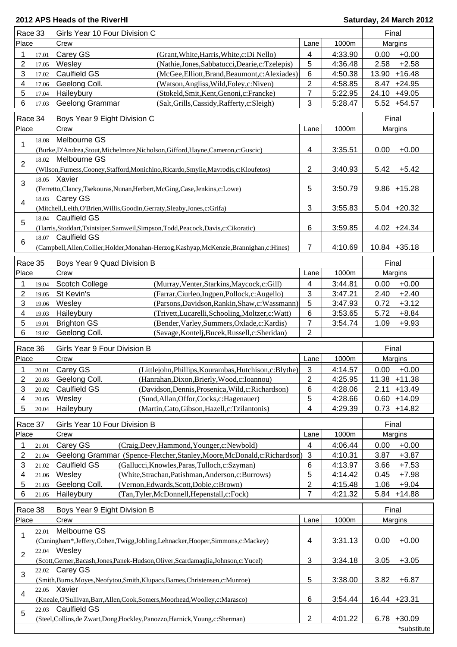| Race 33                 |       | Girls Year 10 Four Division C                                                                             |                         | Final   |                               |  |
|-------------------------|-------|-----------------------------------------------------------------------------------------------------------|-------------------------|---------|-------------------------------|--|
| Place                   |       | Crew                                                                                                      | Lane                    | 1000m   | Margins                       |  |
| 1                       | 17.01 | Carey GS<br>(Grant, White, Harris, White, c: Di Nello)                                                    | 4                       | 4:33.90 | 0.00<br>$+0.00$               |  |
| $\overline{c}$          | 17.05 | Wesley<br>(Nathie,Jones,Sabbatucci,Dearie,c:Tzelepis)                                                     | 5                       | 4:36.48 | $+2.58$<br>2.58               |  |
| 3                       | 17.02 | <b>Caulfield GS</b><br>(McGee, Elliott, Brand, Beaumont, c: Alexiades)                                    | 6                       | 4:50.38 | $+16.48$<br>13.90             |  |
| 4                       | 17.06 | Geelong Coll.<br>(Watson, Angliss, Wild, Foley, c: Niven)                                                 | $\overline{2}$          | 4:58.85 | 8.47 +24.95                   |  |
| 5                       | 17.04 | Haileybury<br>(Stokeld, Smit, Kent, Genoni, c: Francke)                                                   | 7                       | 5:22.95 | 24.10 +49.05                  |  |
| 6                       | 17.03 | Geelong Grammar<br>(Salt, Grills, Cassidy, Rafferty, c: Sleigh)                                           | 3                       | 5:28.47 | 5.52 +54.57                   |  |
| Race 34                 |       | Boys Year 9 Eight Division C                                                                              |                         |         | Final                         |  |
| Place                   |       | Crew                                                                                                      | Lane                    | 1000m   | Margins                       |  |
|                         |       | Melbourne GS                                                                                              |                         |         |                               |  |
| 1                       | 18.08 |                                                                                                           |                         |         |                               |  |
|                         |       | (Burke, D'Andrea, Stout, Michelmore, Nicholson, Gifford, Hayne, Cameron, c: Guscic)<br>18.02 Melbourne GS | 4                       | 3:35.51 | 0.00<br>$+0.00$               |  |
| $\overline{2}$          |       |                                                                                                           | $\overline{2}$          | 3:40.93 | 5.42<br>$+5.42$               |  |
|                         |       | (Wilson, Furness, Cooney, Stafford, Monichino, Ricardo, Smylie, Mavrodis, c: Kloufetos)<br>18.05 Xavier   |                         |         |                               |  |
| 3                       |       |                                                                                                           | 5                       | 3:50.79 | $9.86 + 15.28$                |  |
|                         | 18.03 | (Ferretto,Clancy,Tsekouras,Nunan,Herbert,McGing,Case,Jenkins,c:Lowe)<br>Carey GS                          |                         |         |                               |  |
| $\overline{\mathbf{4}}$ |       | (Mitchell,Leith,O'Brien,Willis,Goodin,Gerraty,Sleaby,Jones,c:Grifa)                                       | 3                       | 3:55.83 | $5.04$ +20.32                 |  |
|                         |       | 18.04 Caulfield GS                                                                                        |                         |         |                               |  |
| 5                       |       | (Harris, Stoddart, Tsintsiper, Samweil, Simpson, Todd, Peacock, Davis, c: Cikoratic)                      | 6                       | 3:59.85 | $4.02 +24.34$                 |  |
|                         |       | 18.07 Caulfield GS                                                                                        |                         |         |                               |  |
| 6                       |       | (Campbell, Allen, Collier, Holder, Monahan-Herzog, Kashyap, McKenzie, Brannighan, c: Hines)               | 7                       | 4:10.69 | $10.84 + 35.18$               |  |
|                         |       |                                                                                                           |                         |         |                               |  |
| Race 35                 |       | Boys Year 9 Quad Division B                                                                               |                         |         | Final                         |  |
| Place                   |       | Crew                                                                                                      | Lane                    | 1000m   | Margins                       |  |
| 1                       | 19.04 | <b>Scotch College</b><br>(Murray, Venter, Starkins, Maycock, c: Gill)                                     | 4                       | 3:44.81 | $+0.00$<br>0.00               |  |
| $\overline{\mathbf{c}}$ | 19.05 | St Kevin's<br>(Farrar, Ciurleo, Ingpen, Pollock, c: Augello)                                              | 3                       | 3:47.21 | $+2.40$<br>2.40               |  |
| 3                       | 19.06 | (Parsons, Davidson, Rankin, Shaw, c: Wassmann)<br>Wesley                                                  | 5                       | 3:47.93 | 0.72<br>$+3.12$               |  |
| 4                       | 19.03 | Haileybury<br>(Trivett, Lucarelli, Schooling, Moltzer, c: Watt)                                           | 6                       | 3:53.65 | $+8.84$<br>5.72               |  |
| 5                       | 19.01 | <b>Brighton GS</b><br>(Bender, Varley, Summers, Oxlade, c: Kardis)                                        | 7                       | 3:54.74 | $+9.93$<br>1.09               |  |
| 6                       | 19.02 | Geelong Coll.<br>(Savage, Kontelj, Bucek, Russell, c: Sheridan)                                           | 2                       |         |                               |  |
|                         |       |                                                                                                           |                         |         |                               |  |
| Race 36                 |       | Girls Year 9 Four Division B                                                                              |                         |         | Final                         |  |
| Place                   |       | Crew                                                                                                      | Lane                    | 1000m   | Margins                       |  |
| 1                       | 20.01 | Carey GS<br>(Littlejohn, Phillips, Kourambas, Hutchison, c: Blythe)                                       | 3                       | 4:14.57 | 0.00<br>$+0.00$               |  |
| $\overline{\mathbf{c}}$ | 20.03 | Geelong Coll.<br>(Hanrahan, Dixon, Brierly, Wood, c: Ioannou)                                             | 2                       | 4:25.95 | 11.38 +11.38                  |  |
| 3                       | 20.02 | Caulfield GS<br>(Davidson, Dennis, Prosenica, Wild, c: Richardson)                                        | 6                       | 4:28.06 | 2.11<br>$+13.49$              |  |
| 4                       | 20.05 | Wesley<br>(Sund, Allan, Offor, Cocks, c: Hagenauer)                                                       | 5                       | 4:28.66 | $0.60 + 14.09$                |  |
| 5                       | 20.04 | (Martin, Cato, Gibson, Hazell, c: Tzilantonis)<br>Haileybury                                              | 4                       | 4:29.39 | $0.73 + 14.82$                |  |
| Race 37                 |       | Girls Year 10 Four Division B                                                                             |                         |         | Final                         |  |
| Place                   |       | Crew                                                                                                      | Lane                    | 1000m   | Margins                       |  |
| 1                       | 21.01 | Carey GS<br>(Craig, Deev, Hammond, Younger, c: Newbold)                                                   | 4                       | 4:06.44 | $+0.00$<br>0.00               |  |
| 2                       | 21.04 | Geelong Grammar (Spence-Fletcher, Stanley, Moore, McDonald, c: Richardson)                                | $\mathbf{3}$            | 4:10.31 | 3.87<br>$+3.87$               |  |
| 3                       | 21.02 | Caulfield GS<br>(Gallucci, Knowles, Paras, Tulloch, c: Szyman)                                            | 6                       | 4:13.97 | 3.66<br>$+7.53$               |  |
| 4                       | 21.06 | Wesley<br>(White, Strachan, Patishman, Anderson, c: Burrows)                                              | 5                       | 4:14.42 | $+7.98$<br>0.45               |  |
| 5                       | 21.03 | Geelong Coll.<br>(Vernon, Edwards, Scott, Dobie, c: Brown)                                                | $\overline{\mathbf{c}}$ | 4:15.48 | $+9.04$<br>1.06               |  |
| 6                       | 21.05 | Haileybury<br>(Tan, Tyler, McDonnell, Hepenstall, c: Fock)                                                | 7                       | 4:21.32 | 5.84<br>$+14.88$              |  |
|                         |       |                                                                                                           |                         |         |                               |  |
| Race 38                 |       | Boys Year 9 Eight Division B                                                                              |                         |         | Final                         |  |
| Place                   |       | Crew                                                                                                      | Lane                    | 1000m   | Margins                       |  |
| 1                       | 22.01 | Melbourne GS                                                                                              |                         |         |                               |  |
|                         |       | (Cuningham*,Jeffery,Cohen,Twigg,Jobling,Lehnacker,Hooper,Simmons,c:Mackey)                                | 4                       | 3:31.13 | 0.00<br>$+0.00$               |  |
| $\overline{2}$          |       | 22.04 Wesley                                                                                              |                         |         |                               |  |
|                         |       | (Scott, Gerner, Bacash, Jones, Panek-Hudson, Oliver, Scardamaglia, Johnson, c: Yucel)                     | 3                       | 3:34.18 | 3.05<br>$+3.05$               |  |
| 3                       |       | 22.02 Carey GS                                                                                            |                         |         |                               |  |
|                         |       | (Smith, Burns, Moyes, Neofytou, Smith, Klupacs, Barnes, Christensen, c: Munroe)                           | 5                       | 3:38.00 | 3.82<br>$+6.87$               |  |
| $\overline{\mathbf{4}}$ |       | 22.05 Xavier                                                                                              |                         |         |                               |  |
|                         |       | (Kneale,O'Sullivan,Barr,Allen,Cook,Somers,Moorhead,Woolley,c:Marasco)                                     | 6                       | 3:54.44 | 16.44 +23.31                  |  |
|                         |       |                                                                                                           |                         |         |                               |  |
| 5                       | 22.03 | <b>Caulfield GS</b>                                                                                       |                         |         |                               |  |
|                         |       | (Steel, Collins, de Zwart, Dong, Hockley, Panozzo, Harnick, Young, c: Sherman)                            | $\overline{2}$          | 4:01.22 | $6.78 + 30.09$<br>*substitute |  |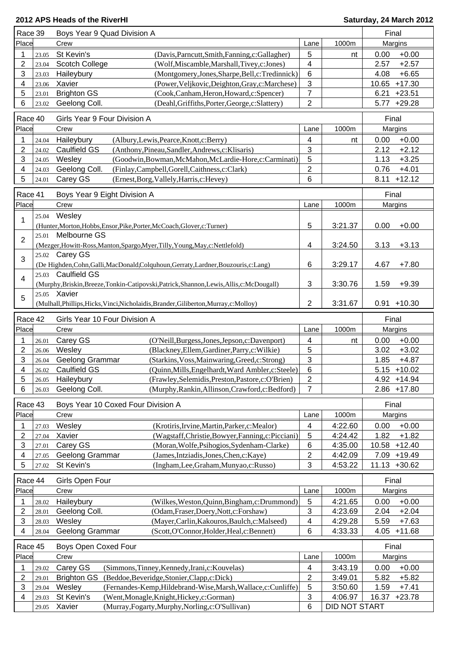| Race 39                 |                | Boys Year 9 Quad Division A                                                                                             |                |                          | Final             |
|-------------------------|----------------|-------------------------------------------------------------------------------------------------------------------------|----------------|--------------------------|-------------------|
| Place                   |                | Crew                                                                                                                    | Lane           | 1000m                    | Margins           |
| 1                       | 23.05          | St Kevin's<br>(Davis, Parncutt, Smith, Fanning, c: Gallagher)                                                           | 5              | nt                       | $+0.00$<br>0.00   |
| 2                       | 23.04          | <b>Scotch College</b><br>(Wolf, Miscamble, Marshall, Tivey, c: Jones)                                                   | 4              |                          | 2.57<br>$+2.57$   |
| 3                       | 23.03          | (Montgomery,Jones,Sharpe,Bell,c:Tredinnick)<br>Haileybury                                                               | $\,6$          |                          | $+6.65$<br>4.08   |
| 4                       | 23.06          | (Power, Veljkovic, Deighton, Gray, c: Marchese)<br>Xavier                                                               | 3              |                          | $+17.30$<br>10.65 |
| 5                       |                |                                                                                                                         | $\overline{7}$ |                          | 6.21              |
|                         | 23.01          | <b>Brighton GS</b><br>(Cook,Canham,Heron,Howard,c:Spencer)                                                              |                |                          | $+23.51$          |
| 6                       | 23.02          | Geelong Coll.<br>(Deahl, Griffiths, Porter, George, c: Slattery)                                                        | $\overline{2}$ |                          | $+29.28$<br>5.77  |
| Race 40                 |                | Girls Year 9 Four Division A                                                                                            |                |                          | Final             |
| Place                   |                | Crew                                                                                                                    | Lane           | 1000m                    | Margins           |
| 1                       | 24.04          | Haileybury<br>(Albury,Lewis,Pearce,Knott,c:Berry)                                                                       | 4              | nt                       | $+0.00$<br>0.00   |
| 2                       |                | <b>Caulfield GS</b><br>(Anthony, Pineau, Sandler, Andrews, c: Klisaris)                                                 | 3              |                          | 2.12<br>$+2.12$   |
|                         | 24.02          |                                                                                                                         |                |                          |                   |
| 3                       | 24.05          | Wesley<br>(Goodwin, Bowman, McMahon, McLardie-Hore, c: Carminati)                                                       | 5              |                          | 1.13<br>$+3.25$   |
| 4                       | 24.03          | Geelong Coll.<br>(Finlay,Campbell,Gorell,Caithness,c:Clark)                                                             | 2              |                          | 0.76<br>$+4.01$   |
| 5                       | 24.01          | Carey GS<br>(Ernest,Borg,Vallely,Harris,c:Hevey)                                                                        | 6              |                          | $+12.12$<br>8.11  |
| Race 41                 |                | Boys Year 9 Eight Division A                                                                                            |                |                          | Final             |
| Place                   |                | Crew                                                                                                                    | Lane           | 1000m                    | Margins           |
|                         |                |                                                                                                                         |                |                          |                   |
| 1                       | 25.04          | Wesley                                                                                                                  |                |                          |                   |
|                         |                | (Hunter, Morton, Hobbs, Ensor, Pike, Porter, McCoach, Glover, c: Turner)                                                | 5              | 3:21.37                  | 0.00<br>$+0.00$   |
| $\overline{2}$          | 25.01          | Melbourne GS                                                                                                            |                |                          |                   |
|                         |                | (Mezger, Howitt-Ross, Manton, Spargo, Myer, Tilly, Young, May, c: Nettlefold)                                           | 4              | 3:24.50                  | 3.13<br>$+3.13$   |
| 3                       |                | 25.02 Carey GS                                                                                                          |                |                          |                   |
|                         |                | (De Highden, Cohn, Galli, MacDonald, Colquhoun, Gerraty, Lardner, Bouzouris, c: Lang)                                   | 6              | 3:29.17                  | $+7.80$<br>4.67   |
| 4                       | 25.03          | <b>Caulfield GS</b>                                                                                                     |                |                          |                   |
|                         |                | (Murphy, Briskin, Breeze, Tonkin-Catipovski, Patrick, Shannon, Lewis, Allis, c: McDougall)                              | 3              | 3:30.76                  | 1.59<br>$+9.39$   |
| 5                       |                | 25.05 Xavier                                                                                                            |                |                          |                   |
|                         |                | (Mulhall, Phillips, Hicks, Vinci, Nicholaidis, Brander, Giliberton, Murray, c: Molloy)                                  | 2              | 3:31.67                  | $0.91 + 10.30$    |
|                         |                |                                                                                                                         |                |                          |                   |
| Race 42                 |                | Girls Year 10 Four Division A                                                                                           |                |                          | Final             |
| Place                   |                | Crew                                                                                                                    | Lane           | 1000m                    | Margins           |
| 1                       | 26.01          | Carey GS<br>(O'Neill, Burgess, Jones, Jepson, c: Davenport)                                                             | 4              | nt                       | $+0.00$<br>0.00   |
| 2                       | 26.06          | Wesley<br>(Blackney, Ellem, Gardiner, Parry, c: Wilkie)                                                                 | 5              |                          | $+3.02$<br>3.02   |
| 3                       | 26.04          | Geelong Grammar<br>(Starkins, Voss, Mainwaring, Greed, c: Strong)                                                       | 3              |                          | 1.85<br>$+4.87$   |
| 4                       | 26.02          | <b>Caulfield GS</b><br>(Quinn, Mills, Engelhardt, Ward Ambler, c: Steele)                                               | 6              |                          | $5.15 + 10.02$    |
| 5                       | 26.05          | Haileybury<br>(Frawley, Selemidis, Preston, Pastore, c: O'Brien)                                                        | $\mathbf{2}$   |                          | 4.92 +14.94       |
| 6                       | 26.03          | Geelong Coll.<br>(Murphy, Rankin, Allinson, Crawford, c: Bedford)                                                       | 7              |                          | $2.86 + 17.80$    |
|                         |                |                                                                                                                         |                |                          |                   |
| Race 43                 |                | Boys Year 10 Coxed Four Division A                                                                                      |                |                          | Final             |
| Place                   |                | Crew                                                                                                                    | Lane           | 1000m                    | Margins           |
| 1                       | 27.03          | Wesley<br>(Krotiris, Irvine, Martin, Parker, c: Mealor)                                                                 | 4              | 4:22.60                  | $+0.00$<br>0.00   |
| 2                       | 27.04          | Xavier<br>(Wagstaff,Christie,Bowyer,Fanning,c:Picciani)                                                                 | 5              | 4:24.42                  | 1.82<br>$+1.82$   |
| 3                       | 27.01          | Carey GS<br>(Moran, Wolfe, Psihogios, Sydenham-Clarke)                                                                  | 6              | 4:35.00                  | 10.58<br>$+12.40$ |
| 4                       | 27.05          | Geelong Grammar<br>(James, Intziadis, Jones, Chen, c: Kaye)                                                             | 2              | 4:42.09                  | $+19.49$<br>7.09  |
| 5                       | 27.02          | St Kevin's<br>(Ingham,Lee,Graham,Munyao,c:Russo)                                                                        | 3              | 4:53.22                  | 11.13<br>$+30.62$ |
|                         |                |                                                                                                                         |                |                          |                   |
| Race 44                 |                | Girls Open Four                                                                                                         |                |                          | Final             |
| Place                   |                | Crew                                                                                                                    | Lane           | 1000m                    | Margins           |
| 1                       | 28.02          | Haileybury<br>(Wilkes, Weston, Quinn, Bingham, c: Drummond)                                                             | 5              | 4:21.65                  | 0.00<br>$+0.00$   |
| 2                       | 28.01          | Geelong Coll.<br>(Odam, Fraser, Doery, Nott, c: Forshaw)                                                                | 3              | 4:23.69                  | 2.04<br>$+2.04$   |
| 3                       | 28.03          | (Mayer, Carlin, Kakouros, Baulch, c: Malseed)<br>Wesley                                                                 | 4              | 4:29.28                  | 5.59<br>$+7.63$   |
| 4                       | 28.04          | Geelong Grammar<br>(Scott, O'Connor, Holder, Heal, c: Bennett)                                                          | 6              | 4:33.33                  | $+11.68$<br>4.05  |
|                         |                |                                                                                                                         |                |                          |                   |
| Race 45                 |                | Boys Open Coxed Four                                                                                                    |                |                          | Final             |
| Place                   |                | Crew                                                                                                                    | Lane           | 1000m                    | Margins           |
| 1                       | 29.02          | Carey GS<br>(Simmons, Tinney, Kennedy, Irani, c: Kouvelas)                                                              | 4              | 3:43.19                  | $+0.00$<br>0.00   |
| $\overline{\mathbf{c}}$ | 29.01          | <b>Brighton GS</b><br>(Beddoe, Beveridge, Stonier, Clapp, c: Dick)                                                      | 2              | 3:49.01                  | 5.82<br>$+5.82$   |
|                         |                |                                                                                                                         |                |                          |                   |
|                         |                |                                                                                                                         |                |                          |                   |
| 3                       | 29.04          | Wesley<br>(Fernandes-Kemp, Hildebrand-Wise, Marsh, Wallace, c: Cunliffe)                                                | 5              | 3:50.60                  | 1.59<br>$+7.41$   |
| 4                       | 29.03<br>29.05 | St Kevin's<br>(Went, Monagle, Knight, Hickey, c: Gorman)<br>Xavier<br>(Murray, Fogarty, Murphy, Norling, c: O'Sullivan) | 3<br>6         | 4:06.97<br>DID NOT START | 16.37<br>$+23.78$ |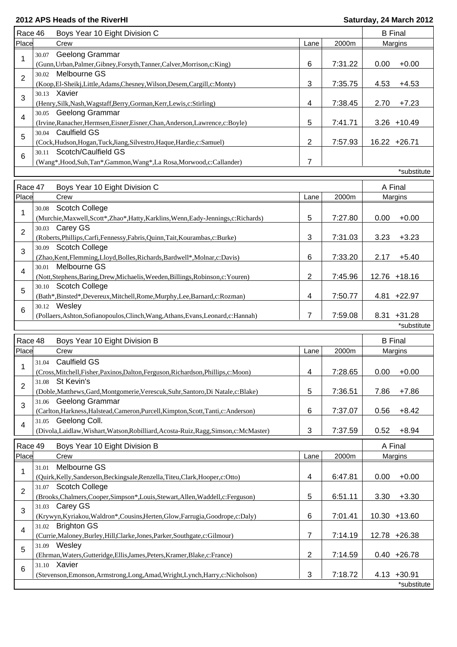| Race 46        |       | Boys Year 10 Eight Division C                                                                        |                           |         |      | <b>B</b> Final |
|----------------|-------|------------------------------------------------------------------------------------------------------|---------------------------|---------|------|----------------|
| Place          |       | Crew                                                                                                 | Lane                      | 2000m   |      | Margins        |
|                | 30.07 | Geelong Grammar                                                                                      |                           |         |      |                |
| 1              |       | (Gunn, Urban, Palmer, Gibney, Forsyth, Tanner, Calver, Morrison, c: King)                            | 6                         | 7:31.22 | 0.00 | $+0.00$        |
| $\overline{2}$ | 30.02 | Melbourne GS                                                                                         |                           |         |      |                |
|                |       | (Koop,El-Sheikj,Little,Adams,Chesney,Wilson,Desem,Cargill,c:Monty)                                   | 3                         | 7:35.75 | 4.53 | $+4.53$        |
| 3              |       | 30.13 Xavier                                                                                         |                           |         |      |                |
|                |       | (Henry, Silk, Nash, Wagstaff, Berry, Gorman, Kerr, Lewis, c: Stirling)                               | $\overline{\mathbf{4}}$   | 7:38.45 | 2.70 | $+7.23$        |
| 4              |       | 30.05 Geelong Grammar                                                                                |                           |         |      |                |
|                |       | (Irvine, Ranacher, Hermsen, Eisner, Eisner, Chan, Anderson, Lawrence, c: Boyle)                      | 5                         | 7:41.71 |      | $3.26 + 10.49$ |
| 5              |       | 30.04 Caulfield GS                                                                                   |                           |         |      |                |
|                |       | (Cock, Hudson, Hogan, Tuck, Jiang, Silvestro, Haque, Hardie, c: Samuel)                              | 2                         | 7:57.93 |      | 16.22 +26.71   |
| 6              | 30.11 | Scotch/Caulfield GS                                                                                  |                           |         |      |                |
|                |       | (Wang*,Hood,Suh,Tan*,Gammon,Wang*,La Rosa,Morwood,c:Callander)                                       | 7                         |         |      |                |
|                |       |                                                                                                      |                           |         |      | *substitute    |
| Race 47        |       | Boys Year 10 Eight Division C                                                                        |                           |         |      | A Final        |
| Place          |       | Crew                                                                                                 | Lane                      | 2000m   |      | Margins        |
|                | 30.08 | <b>Scotch College</b>                                                                                |                           |         |      |                |
| 1              |       | (Murchie, Maxwell, Scott*, Zhao*, Hatty, Karklins, Wenn, Eady-Jennings, c: Richards)                 | 5                         | 7:27.80 | 0.00 | $+0.00$        |
|                |       | 30.03 Carey GS                                                                                       |                           |         |      |                |
| $\overline{2}$ |       | (Roberts, Phillips, Carfi, Fennessy, Fabris, Quinn, Tait, Kourambas, c: Burke)                       | 3                         | 7:31.03 | 3.23 | $+3.23$        |
|                | 30.09 | <b>Scotch College</b>                                                                                |                           |         |      |                |
| 3              |       | (Zhao, Kent, Flemming, Lloyd, Bolles, Richards, Bardwell*, Molnar, c: Davis)                         | 6                         | 7:33.20 | 2.17 | $+5.40$        |
|                | 30.01 | Melbourne GS                                                                                         |                           |         |      |                |
| 4              |       | (Nott,Stephens,Baring,Drew,Michaelis,Weeden,Billings,Robinson,c:Youren)                              | 2                         | 7:45.96 |      | 12.76 +18.16   |
|                |       | 30.10 Scotch College                                                                                 |                           |         |      |                |
| 5              |       | (Bath*,Binsted*,Devereux,Mitchell,Rome,Murphy,Lee,Barnard,c:Rozman)                                  | 4                         | 7:50.77 |      | 4.81 +22.97    |
|                |       | 30.12 Wesley                                                                                         |                           |         |      |                |
| 6              |       | (Pollaers, Ashton, Sofianopoulos, Clinch, Wang, Athans, Evans, Leonard, c: Hannah)                   | 7                         | 7:59.08 |      | 8.31 +31.28    |
|                |       |                                                                                                      |                           |         |      | *substitute    |
|                |       |                                                                                                      |                           |         |      |                |
| Race 48        |       | Boys Year 10 Eight Division B                                                                        |                           |         |      | <b>B</b> Final |
| Place          |       | Crew                                                                                                 | Lane                      | 2000m   |      | Margins        |
| 1              | 31.04 | <b>Caulfield GS</b>                                                                                  |                           |         |      |                |
|                |       | (Cross, Mitchell, Fisher, Paxinos, Dalton, Ferguson, Richardson, Phillips, c: Moon)                  | $\overline{4}$            | 7:28.65 |      | $0.00 + 0.00$  |
| $\overline{c}$ | 31.08 | St Kevin's                                                                                           |                           |         |      |                |
|                |       | (Doble, Matthews, Gard, Montgomerie, Verescuk, Suhr, Santoro, Di Natale, c: Blake)                   | 5                         | 7:36.51 | 7.86 | $+7.86$        |
| 3              |       | 31.06 Geelong Grammar                                                                                |                           |         |      |                |
|                |       | (Carlton, Harkness, Halstead, Cameron, Purcell, Kimpton, Scott, Tanti, c: Anderson)                  | $6\phantom{1}6$           | 7:37.07 | 0.56 | $+8.42$        |
| 4              |       | 31.05 Geelong Coll.<br>(Divola,Laidlaw,Wishart,Watson,Robilliard,Acosta-Ruiz,Ragg,Simson,c:McMaster) | $\sqrt{3}$                | 7:37.59 | 0.52 | $+8.94$        |
|                |       |                                                                                                      |                           |         |      |                |
| Race 49        |       | Boys Year 10 Eight Division B                                                                        |                           |         |      | A Final        |
| Place          |       | Crew                                                                                                 | Lane                      | 2000m   |      | Margins        |
|                | 31.01 | Melbourne GS                                                                                         |                           |         |      |                |
| 1              |       | (Quirk, Kelly, Sanderson, Beckingsale, Renzella, Titeu, Clark, Hooper, c: Otto)                      | 4                         | 6:47.81 | 0.00 | $+0.00$        |
| $\overline{2}$ | 31.07 | <b>Scotch College</b>                                                                                |                           |         |      |                |
|                |       | (Brooks,Chalmers,Cooper,Simpson*,Louis,Stewart,Allen,Waddell,c:Ferguson)                             | 5                         | 6:51.11 | 3.30 | $+3.30$        |
| 3              | 31.03 | Carey GS                                                                                             |                           |         |      |                |
|                |       | (Krywyn, Kyriakou, Waldron*, Cousins, Herten, Glow, Farrugia, Goodrope, c: Daly)                     | $\,6$                     | 7:01.41 |      | 10.30 +13.60   |
| 4              | 31.02 | <b>Brighton GS</b>                                                                                   |                           |         |      |                |
|                |       | (Currie, Maloney, Burley, Hill, Clarke, Jones, Parker, Southgate, c: Gilmour)                        | 7                         | 7:14.19 |      | 12.78 +26.38   |
| 5              |       | 31.09 Wesley                                                                                         |                           |         |      |                |
|                |       | (Ehrman, Waters, Gutteridge, Ellis, James, Peters, Kramer, Blake, c: France)                         | $\sqrt{2}$                | 7:14.59 |      | $0.40 +26.78$  |
| 6              |       | 31.10 Xavier                                                                                         |                           |         |      |                |
|                |       | (Stevenson, Emonson, Armstrong, Long, Amad, Wright, Lynch, Harry, c: Nicholson)                      | $\ensuremath{\mathsf{3}}$ | 7:18.72 |      | $4.13 + 30.91$ |
|                |       |                                                                                                      |                           |         |      | *substitute    |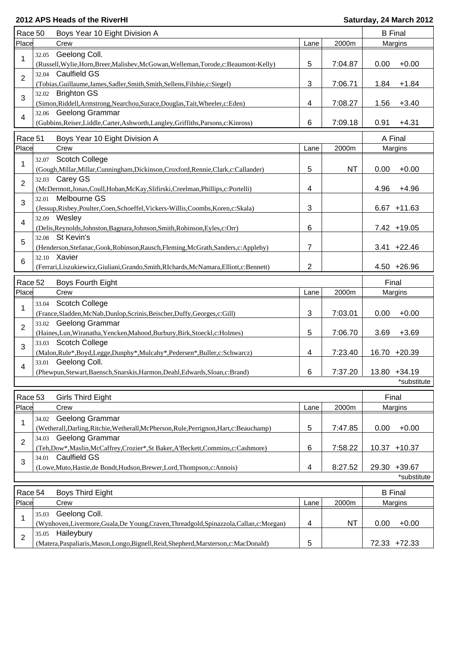| Race 50        | Boys Year 10 Eight Division A                                                                          |      |           |       | <b>B</b> Final |
|----------------|--------------------------------------------------------------------------------------------------------|------|-----------|-------|----------------|
| Place          | Crew                                                                                                   | Lane | 2000m     |       | Margins        |
| 32.05<br>1     | Geelong Coll.                                                                                          |      |           |       |                |
|                | (Russell, Wylie, Horn, Breer, Malishev, McGowan, Welleman, Torode, c: Beaumont-Kelly)                  | 5    | 7:04.87   | 0.00  | $+0.00$        |
| $\overline{2}$ | 32.04 Caulfield GS                                                                                     |      |           |       |                |
|                | (Tobias, Guillaume, James, Sadler, Smith, Smith, Sellens, Filshie, c: Siegel)                          | 3    | 7:06.71   | 1.84  | $+1.84$        |
| 3              | 32.02 Brighton GS                                                                                      |      |           |       |                |
|                | (Simon, Riddell, Armstrong, Nearchou, Surace, Douglas, Tait, Wheeler, c: Eden)                         | 4    | 7:08.27   | 1.56  | $+3.40$        |
| 4              | 32.06 Geelong Grammar                                                                                  | 6    | 7:09.18   | 0.91  | $+4.31$        |
|                | (Gubbins, Reiser, Liddle, Carter, Ashworth, Langley, Griffiths, Parsons, c: Kinross)                   |      |           |       |                |
| Race 51        | Boys Year 10 Eight Division A                                                                          |      |           |       | A Final        |
| Place          | Crew                                                                                                   | Lane | 2000m     |       | Margins        |
| 1              | 32.07 Scotch College                                                                                   |      |           |       |                |
|                | (Gough, Millar, Millar, Cunningham, Dickinson, Croxford, Rennie, Clark, c: Callander)                  | 5    | <b>NT</b> | 0.00  | $+0.00$        |
| $\overline{2}$ | 32.03 Carey GS                                                                                         |      |           |       |                |
|                | (McDermott,Jonas,Coull,Hoban,McKay,Slifirski,Creelman,Phillips,c:Portelli)                             | 4    |           | 4.96  | $+4.96$        |
| 32.01<br>3     | Melbourne GS                                                                                           |      |           |       |                |
|                | (Jessup, Risbey, Poulter, Coen, Schoeffel, Vickers-Willis, Coombs, Koren, c: Skala)                    | 3    |           |       | $6.67 + 11.63$ |
| 4              | 32.09 Wesley<br>(Delis, Reynolds, Johnston, Bagnara, Johnson, Smith, Robinson, Eyles, c: Orr)          | 6    |           |       | 7.42 +19.05    |
|                | 32.08 St Kevin's                                                                                       |      |           |       |                |
| 5              | (Henderson, Stefanac, Gook, Robinson, Rausch, Fleming, McGrath, Sanders, c: Appleby)                   | 7    |           |       | $3.41 +22.46$  |
|                | 32.10 Xavier                                                                                           |      |           |       |                |
| 6              | (Ferrari, Liszukiewicz, Giuliani, Grando, Smith, RIchards, McNamara, Elliott, c: Bennett)              | 2    |           |       | $4.50 +26.96$  |
|                |                                                                                                        |      |           |       |                |
| Race 52        | Boys Fourth Eight                                                                                      |      |           | Final |                |
| Place          | Crew                                                                                                   | Lane | 2000m     |       | Margins        |
| 33.04<br>1     | <b>Scotch College</b>                                                                                  |      |           |       |                |
| 33.02          | (France, Sladden, McNab, Dunlop, Scrinis, Beischer, Duffy, Georges, c: Gill)<br><b>Geelong Grammar</b> | 3    | 7:03.01   | 0.00  | $+0.00$        |
| $\overline{2}$ | (Haines, Lun, Wiranatha, Yencken, Mahood, Burbury, Birk, Stoeckl, c: Holmes)                           | 5    | 7:06.70   | 3.69  | $+3.69$        |
|                | 33.03 Scotch College                                                                                   |      |           |       |                |
| 3              | (Malon, Rule*, Boyd, Legge, Dunphy*, Mulcahy*, Pedersen*, Buller, c: Schwarcz)                         | 4    | 7:23.40   |       | 16.70 +20.39   |
|                | 33.01 Geelong Coll.                                                                                    |      |           |       |                |
| 4              | (Phewpun, Stewart, Baensch, Snarskis, Harmon, Deahl, Edwards, Sloan, c: Brand)                         | 6    | 7:37.20   |       | 13.80 +34.19   |
|                |                                                                                                        |      |           |       | *substitute    |
| Race 53        | Girls Third Eight                                                                                      |      |           | Final |                |
| Place          | Crew                                                                                                   | Lane | 2000m     |       | Margins        |
| 34.02          | Geelong Grammar                                                                                        |      |           |       |                |
| 1              | (Wetherall, Darling, Ritchie, Wetherall, McPherson, Rule, Perrignon, Hart, c: Beauchamp)               | 5    | 7:47.85   | 0.00  | $+0.00$        |
| 34.03          | Geelong Grammar                                                                                        |      |           |       |                |
| $\overline{2}$ | (Teh,Dow*,Maslin,McCaffrey,Crozier*,St Baker,A'Beckett,Commins,c:Cashmore)                             | 6    | 7:58.22   |       | 10.37 +10.37   |
| 34.01          | <b>Caulfield GS</b>                                                                                    |      |           |       |                |
| 3              | (Lowe, Muto, Hastie, de Bondt, Hudson, Brewer, Lord, Thompson, c: Annois)                              | 4    | 8:27.52   |       | 29.30 +39.67   |
|                |                                                                                                        |      |           |       | *substitute    |
| Race 54        | <b>Boys Third Eight</b>                                                                                |      |           |       | <b>B</b> Final |
| Place          | Crew                                                                                                   | Lane | 2000m     |       | Margins        |
| 35.03          | Geelong Coll.                                                                                          |      |           |       |                |
| 1              | (Wynhoven, Livermore, Guala, De Young, Craven, Threadgold, Spinazzola, Callan, c: Morgan)              | 4    | <b>NT</b> | 0.00  | $+0.00$        |
| 35.05          | Haileybury                                                                                             |      |           |       |                |
| $\overline{2}$ | (Matera, Paspaliaris, Mason, Longo, Bignell, Reid, Shepherd, Marsterson, c: MacDonald)                 | 5    |           |       | 72.33 +72.33   |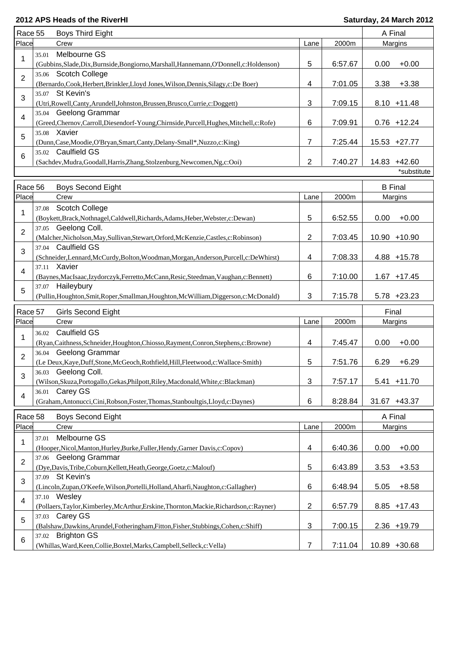| Race 55        |       | Boys Third Eight                                                                                             |                |         | A Final                     |
|----------------|-------|--------------------------------------------------------------------------------------------------------------|----------------|---------|-----------------------------|
| Place          |       | Crew                                                                                                         | Lane           | 2000m   | Margins                     |
| 1              | 35.01 | Melbourne GS<br>(Gubbins, Slade, Dix, Burnside, Bongiorno, Marshall, Hannemann, O'Donnell, c: Holdenson)     | 5              | 6:57.67 | 0.00<br>$+0.00$             |
| $\overline{2}$ |       | 35.06 Scotch College<br>(Bernardo, Cook, Herbert, Brinkler, Lloyd Jones, Wilson, Dennis, Silagy, c: De Boer) | 4              | 7:01.05 | 3.38<br>$+3.38$             |
| 3              | 35.07 | St Kevin's                                                                                                   |                |         |                             |
|                |       | (Utri, Rowell, Canty, Arundell, Johnston, Brussen, Brusco, Currie, c: Doggett)                               | 3              | 7:09.15 | $8.10 + 11.48$              |
| 4              |       | 35.04 Geelong Grammar<br>(Greed,Chernov,Carroll,Diesendorf-Young,Chirnside,Purcell,Hughes,Mitchell,c:Rofe)   | 6              | 7:09.91 | $0.76 + 12.24$              |
| 5              |       | 35.08 Xavier<br>(Dunn, Case, Moodie, O'Bryan, Smart, Canty, Delany-Small*, Nuzzo, c: King)                   | 7              | 7:25.44 | 15.53 +27.77                |
| 6              |       | 35.02 Caulfield GS                                                                                           |                |         |                             |
|                |       | (Sachdev, Mudra, Goodall, Harris, Zhang, Stolzenburg, Newcomen, Ng, c: Ooi)                                  | 2              | 7:40.27 | 14.83 +42.60<br>*substitute |
| Race 56        |       | <b>Boys Second Eight</b>                                                                                     |                |         | <b>B</b> Final              |
| Place          |       | Crew                                                                                                         | Lane           | 2000m   | Margins                     |
|                | 37.08 | Scotch College                                                                                               |                |         |                             |
| 1              |       | (Boykett,Brack,Nothnagel,Caldwell,Richards,Adams,Heber,Webster,c:Dewan)                                      | 5              | 6:52.55 | $+0.00$<br>0.00             |
| 2              |       | 37.05 Geelong Coll.                                                                                          |                |         |                             |
|                |       | (Malcher, Nicholson, May, Sullivan, Stewart, Orford, McKenzie, Castles, c: Robinson)                         | 2              | 7:03.45 | 10.90 +10.90                |
| 3              |       | 37.04 Caulfield GS<br>(Schneider,Lennard,McCurdy,Bolton,Woodman,Morgan,Anderson,Purcell,c:DeWhirst)          | 4              | 7:08.33 | 4.88 +15.78                 |
| 4              |       | 37.11 Xavier<br>(Baynes, MacIsaac, Izydorczyk, Ferretto, McCann, Resic, Steedman, Vaughan, c: Bennett)       | 6              | 7:10.00 | $1.67 + 17.45$              |
| 5              | 37.07 | Haileybury                                                                                                   |                |         |                             |
|                |       | (Pullin, Houghton, Smit, Roper, Smallman, Houghton, McWilliam, Diggerson, c: McDonald)                       | 3              | 7:15.78 | $5.78 + 23.23$              |
| Race 57        |       | Girls Second Eight                                                                                           |                |         | Final                       |
| Place          |       | Crew                                                                                                         | Lane           | 2000m   | <b>Margins</b>              |
|                | 36.02 | <b>Caulfield GS</b>                                                                                          |                |         |                             |
| 1              |       | (Ryan,Caithness,Schneider,Houghton,Chiosso,Rayment,Conron,Stephens,c:Browne)                                 | 4              | 7:45.47 | $+0.00$<br>0.00             |
| $\overline{2}$ |       | 36.04 Geelong Grammar<br>(Le Deux, Kaye, Duff, Stone, McGeoch, Rothfield, Hill, Fleetwood, c: Wallace-Smith) | 5              | 7:51.76 | 6.29<br>$+6.29$             |
|                |       | 36.03 Geelong Coll.                                                                                          |                |         |                             |
| 3              |       | (Wilson, Skuza, Portogallo, Gekas, Philpott, Riley, Macdonald, White, c: Blackman)                           | 3              | 7:57.17 | $5.41 + 11.70$              |
| $\overline{4}$ |       | 36.01 Carey GS                                                                                               |                |         |                             |
|                |       | (Graham, Antonucci, Cini, Robson, Foster, Thomas, Stanboultgis, Lloyd, c: Daynes)                            | 6              | 8:28.84 | 31.67 +43.37                |
| Race 58        |       | Boys Second Eight                                                                                            |                |         | A Final                     |
| Place          |       | Crew                                                                                                         | Lane           | 2000m   | Margins                     |
| 1              | 37.01 | Melbourne GS<br>(Hooper, Nicol, Manton, Hurley, Burke, Fuller, Hendy, Garner Davis, c: Copov)                | 4              | 6:40.36 | 0.00<br>$+0.00$             |
| $\overline{2}$ | 37.06 | Geelong Grammar                                                                                              |                |         |                             |
|                |       | (Dye, Davis, Tribe, Coburn, Kellett, Heath, George, Goetz, c: Malouf)<br>37.09 St Kevin's                    | 5              | 6:43.89 | 3.53<br>$+3.53$             |
| 3              |       | (Lincoln,Zupan,O'Keefe,Wilson,Portelli,Holland,Aharfi,Naughton,c:Gallagher)                                  | 6              | 6:48.94 | 5.05<br>$+8.58$             |
| 4              |       | 37.10 Wesley<br>(Pollaers,Taylor,Kimberley,McArthur,Erskine,Thornton,Mackie,Richardson,c:Rayner)             | $\overline{c}$ | 6:57.79 | $8.85 + 17.43$              |
| 5              |       | 37.03 Carey GS                                                                                               |                |         |                             |
|                |       | (Balshaw,Dawkins,Arundel,Fotheringham,Fitton,Fisher,Stubbings,Cohen,c:Shiff)                                 | 3              | 7:00.15 | 2.36 +19.79                 |
| 6              | 37.02 | <b>Brighton GS</b>                                                                                           |                |         |                             |
|                |       | (Whillas, Ward, Keen, Collie, Boxtel, Marks, Campbell, Selleck, c: Vella)                                    | 7              | 7:11.04 | 10.89 +30.68                |